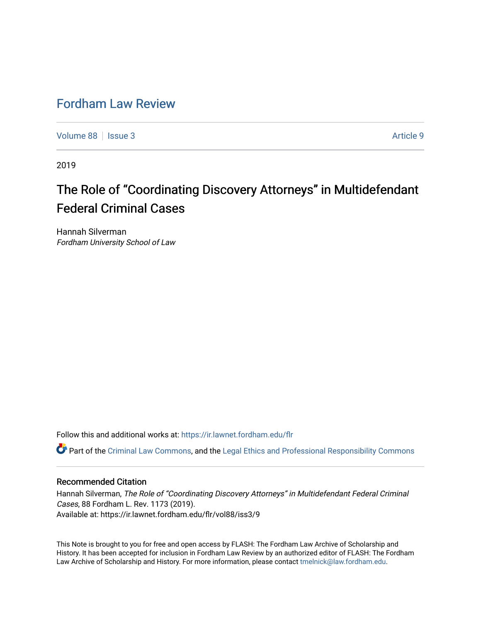# [Fordham Law Review](https://ir.lawnet.fordham.edu/flr)

[Volume 88](https://ir.lawnet.fordham.edu/flr/vol88) | [Issue 3](https://ir.lawnet.fordham.edu/flr/vol88/iss3) Article 9

2019

# The Role of "Coordinating Discovery Attorneys" in Multidefendant Federal Criminal Cases

Hannah Silverman Fordham University School of Law

Follow this and additional works at: [https://ir.lawnet.fordham.edu/flr](https://ir.lawnet.fordham.edu/flr?utm_source=ir.lawnet.fordham.edu%2Fflr%2Fvol88%2Fiss3%2F9&utm_medium=PDF&utm_campaign=PDFCoverPages)

Part of the [Criminal Law Commons,](http://network.bepress.com/hgg/discipline/912?utm_source=ir.lawnet.fordham.edu%2Fflr%2Fvol88%2Fiss3%2F9&utm_medium=PDF&utm_campaign=PDFCoverPages) and the [Legal Ethics and Professional Responsibility Commons](http://network.bepress.com/hgg/discipline/895?utm_source=ir.lawnet.fordham.edu%2Fflr%2Fvol88%2Fiss3%2F9&utm_medium=PDF&utm_campaign=PDFCoverPages) 

# Recommended Citation

Hannah Silverman, The Role of "Coordinating Discovery Attorneys" in Multidefendant Federal Criminal Cases, 88 Fordham L. Rev. 1173 (2019). Available at: https://ir.lawnet.fordham.edu/flr/vol88/iss3/9

This Note is brought to you for free and open access by FLASH: The Fordham Law Archive of Scholarship and History. It has been accepted for inclusion in Fordham Law Review by an authorized editor of FLASH: The Fordham Law Archive of Scholarship and History. For more information, please contact [tmelnick@law.fordham.edu](mailto:tmelnick@law.fordham.edu).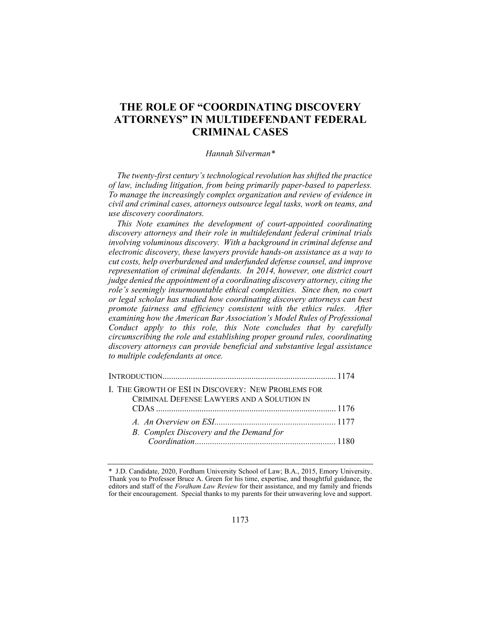# **THE ROLE OF "COORDINATING DISCOVERY ATTORNEYS" IN MULTIDEFENDANT FEDERAL CRIMINAL CASES**

#### *Hannah Silverman\**

*The twenty-first century's technological revolution has shifted the practice of law, including litigation, from being primarily paper-based to paperless. To manage the increasingly complex organization and review of evidence in civil and criminal cases, attorneys outsource legal tasks, work on teams, and use discovery coordinators.* 

*This Note examines the development of court-appointed coordinating discovery attorneys and their role in multidefendant federal criminal trials involving voluminous discovery. With a background in criminal defense and electronic discovery, these lawyers provide hands-on assistance as a way to cut costs, help overburdened and underfunded defense counsel, and improve representation of criminal defendants. In 2014, however, one district court judge denied the appointment of a coordinating discovery attorney, citing the role's seemingly insurmountable ethical complexities. Since then, no court or legal scholar has studied how coordinating discovery attorneys can best promote fairness and efficiency consistent with the ethics rules. After examining how the American Bar Association's Model Rules of Professional Conduct apply to this role, this Note concludes that by carefully circumscribing the role and establishing proper ground rules, coordinating discovery attorneys can provide beneficial and substantive legal assistance to multiple codefendants at once.* 

| I. THE GROWTH OF ESI IN DISCOVERY: NEW PROBLEMS FOR |  |
|-----------------------------------------------------|--|
| CRIMINAL DEFENSE LAWYERS AND A SOLUTION IN          |  |
|                                                     |  |
|                                                     |  |
| B. Complex Discovery and the Demand for             |  |
|                                                     |  |
|                                                     |  |

<sup>\*</sup> J.D. Candidate, 2020, Fordham University School of Law; B.A., 2015, Emory University. Thank you to Professor Bruce A. Green for his time, expertise, and thoughtful guidance, the editors and staff of the *Fordham Law Review* for their assistance, and my family and friends for their encouragement. Special thanks to my parents for their unwavering love and support.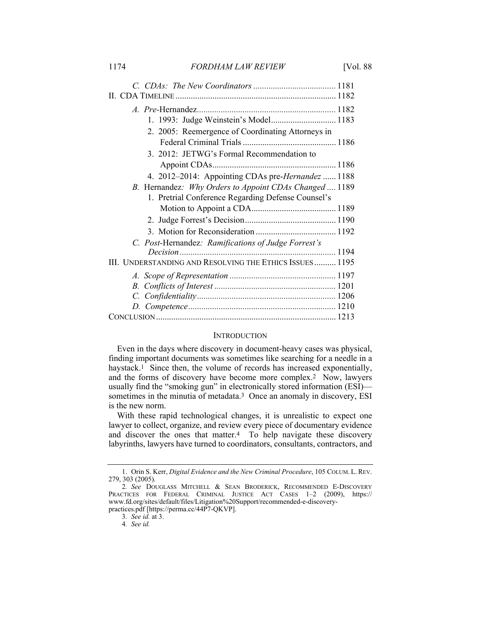| 2. 2005: Reemergence of Coordinating Attorneys in       |  |
|---------------------------------------------------------|--|
|                                                         |  |
| 3. 2012: JETWG's Formal Recommendation to               |  |
|                                                         |  |
| 4. 2012–2014: Appointing CDAs pre-Hernandez  1188       |  |
| B. Hernandez: Why Orders to Appoint CDAs Changed  1189  |  |
| 1. Pretrial Conference Regarding Defense Counsel's      |  |
|                                                         |  |
|                                                         |  |
|                                                         |  |
| C. Post-Hernandez: Ramifications of Judge Forrest's     |  |
|                                                         |  |
| III. UNDERSTANDING AND RESOLVING THE ETHICS ISSUES 1195 |  |
|                                                         |  |
|                                                         |  |
|                                                         |  |
|                                                         |  |
|                                                         |  |

#### **INTRODUCTION**

Even in the days where discovery in document-heavy cases was physical, finding important documents was sometimes like searching for a needle in a haystack.<sup>1</sup> Since then, the volume of records has increased exponentially, and the forms of discovery have become more complex.2 Now, lawyers usually find the "smoking gun" in electronically stored information (ESI) sometimes in the minutia of metadata.<sup>3</sup> Once an anomaly in discovery, ESI is the new norm.

With these rapid technological changes, it is unrealistic to expect one lawyer to collect, organize, and review every piece of documentary evidence and discover the ones that matter.4 To help navigate these discovery labyrinths, lawyers have turned to coordinators, consultants, contractors, and

 <sup>1.</sup> Orin S. Kerr, *Digital Evidence and the New Criminal Procedure*, 105 COLUM. L. REV. 279, 303 (2005).

<sup>2</sup>*. See* DOUGLASS MITCHELL & SEAN BRODERICK, RECOMMENDED E-DISCOVERY PRACTICES FOR FEDERAL CRIMINAL JUSTICE ACT CASES 1–2 (2009), https:// www.fd.org/sites/default/files/Litigation%20Support/recommended-e-discoverypractices.pdf [https://perma.cc/44P7-QKVP].

<sup>3</sup>*. See id.* at 3.

<sup>4</sup>*. See id.*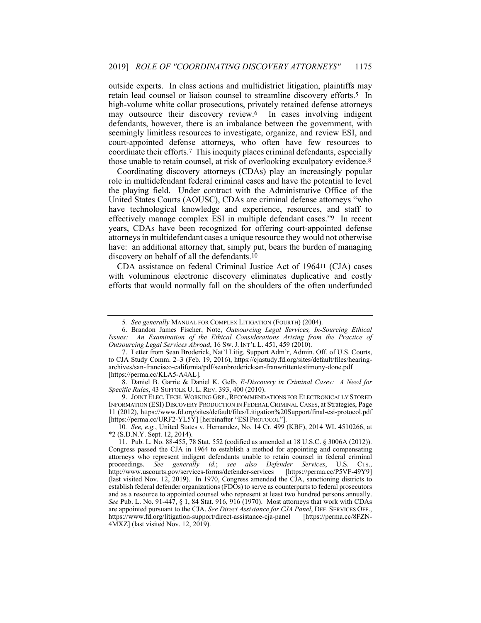outside experts. In class actions and multidistrict litigation, plaintiffs may retain lead counsel or liaison counsel to streamline discovery efforts.5 In high-volume white collar prosecutions, privately retained defense attorneys may outsource their discovery review.6 In cases involving indigent defendants, however, there is an imbalance between the government, with seemingly limitless resources to investigate, organize, and review ESI, and court-appointed defense attorneys, who often have few resources to coordinate their efforts.7 This inequity places criminal defendants, especially those unable to retain counsel, at risk of overlooking exculpatory evidence.8

Coordinating discovery attorneys (CDAs) play an increasingly popular role in multidefendant federal criminal cases and have the potential to level the playing field. Under contract with the Administrative Office of the United States Courts (AOUSC), CDAs are criminal defense attorneys "who have technological knowledge and experience, resources, and staff to effectively manage complex ESI in multiple defendant cases."9 In recent years, CDAs have been recognized for offering court-appointed defense attorneys in multidefendant cases a unique resource they would not otherwise have: an additional attorney that, simply put, bears the burden of managing discovery on behalf of all the defendants.10

CDA assistance on federal Criminal Justice Act of 196411 (CJA) cases with voluminous electronic discovery eliminates duplicative and costly efforts that would normally fall on the shoulders of the often underfunded

9. JOINT ELEC. TECH. WORKING GRP., RECOMMENDATIONS FOR ELECTRONICALLY STORED INFORMATION (ESI) DISCOVERY PRODUCTION IN FEDERAL CRIMINAL CASES, at Strategies, Page 11 (2012), https://www.fd.org/sites/default/files/Litigation%20Support/final-esi-protocol.pdf [https://perma.cc/URF2-YL5Y] [hereinafter "ESI PROTOCOL"].

10*. See, e.g.*, United States v. Hernandez, No. 14 Cr. 499 (KBF), 2014 WL 4510266, at \*2 (S.D.N.Y. Sept. 12, 2014).

<sup>5</sup>*. See generally* MANUAL FOR COMPLEX LITIGATION (FOURTH) (2004).

 <sup>6.</sup> Brandon James Fischer, Note, *Outsourcing Legal Services, In-Sourcing Ethical Issues: An Examination of the Ethical Considerations Arising from the Practice of Outsourcing Legal Services Abroad*, 16 SW. J. INT'L L. 451, 459 (2010).

 <sup>7.</sup> Letter from Sean Broderick, Nat'l Litig. Support Adm'r, Admin. Off. of U.S. Courts, to CJA Study Comm. 2–3 (Feb. 19, 2016), https://cjastudy.fd.org/sites/default/files/hearingarchives/san-francisco-california/pdf/seanbrodericksan-franwrittentestimony-done.pdf [https://perma.cc/KLA5-A4AL].

 <sup>8.</sup> Daniel B. Garrie & Daniel K. Gelb, *E-Discovery in Criminal Cases: A Need for Specific Rules*, 43 SUFFOLK U. L. REV. 393, 400 (2010).

 <sup>11.</sup> Pub. L. No. 88-455, 78 Stat. 552 (codified as amended at 18 U.S.C. § 3006A (2012)). Congress passed the CJA in 1964 to establish a method for appointing and compensating attorneys who represent indigent defendants unable to retain counsel in federal criminal proceedings. *See generally id.*; *see also Defender Services*, U.S. CTS., http://www.uscourts.gov/services-forms/defender-services (last visited Nov. 12, 2019). In 1970, Congress amended the CJA, sanctioning districts to establish federal defender organizations (FDOs) to serve as counterparts to federal prosecutors and as a resource to appointed counsel who represent at least two hundred persons annually. *See* Pub. L. No. 91-447, § 1, 84 Stat. 916, 916 (1970). Most attorneys that work with CDAs are appointed pursuant to the CJA. *See Direct Assistance for CJA Panel*, DEF. SERVICES OFF., https://www.fd.org/litigation-support/direct-assistance-cja-panel [https://perma.cc/8FZN-4MXZ] (last visited Nov. 12, 2019).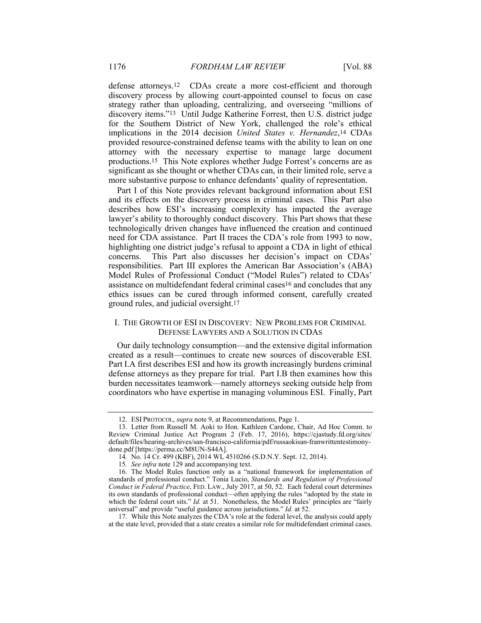defense attorneys.12 CDAs create a more cost-efficient and thorough discovery process by allowing court-appointed counsel to focus on case strategy rather than uploading, centralizing, and overseeing "millions of discovery items."13 Until Judge Katherine Forrest, then U.S. district judge for the Southern District of New York, challenged the role's ethical implications in the 2014 decision *United States v. Hernandez*,14 CDAs provided resource-constrained defense teams with the ability to lean on one attorney with the necessary expertise to manage large document productions.15 This Note explores whether Judge Forrest's concerns are as significant as she thought or whether CDAs can, in their limited role, serve a more substantive purpose to enhance defendants' quality of representation.

Part I of this Note provides relevant background information about ESI and its effects on the discovery process in criminal cases. This Part also describes how ESI's increasing complexity has impacted the average lawyer's ability to thoroughly conduct discovery. This Part shows that these technologically driven changes have influenced the creation and continued need for CDA assistance. Part II traces the CDA's role from 1993 to now, highlighting one district judge's refusal to appoint a CDA in light of ethical concerns. This Part also discusses her decision's impact on CDAs' responsibilities. Part III explores the American Bar Association's (ABA) Model Rules of Professional Conduct ("Model Rules") related to CDAs' assistance on multidefendant federal criminal cases16 and concludes that any ethics issues can be cured through informed consent, carefully created ground rules, and judicial oversight.17

# I. THE GROWTH OF ESI IN DISCOVERY: NEW PROBLEMS FOR CRIMINAL DEFENSE LAWYERS AND A SOLUTION IN CDAS

Our daily technology consumption—and the extensive digital information created as a result—continues to create new sources of discoverable ESI. Part I.A first describes ESI and how its growth increasingly burdens criminal defense attorneys as they prepare for trial. Part I.B then examines how this burden necessitates teamwork—namely attorneys seeking outside help from coordinators who have expertise in managing voluminous ESI. Finally, Part

 <sup>12.</sup> ESI PROTOCOL, *supra* note 9, at Recommendations, Page 1.

 <sup>13.</sup> Letter from Russell M. Aoki to Hon. Kathleen Cardone, Chair, Ad Hoc Comm. to Review Criminal Justice Act Program 2 (Feb. 17, 2016), https://cjastudy.fd.org/sites/ default/files/hearing-archives/san-francisco-california/pdf/russaokisan-franwrittentestimonydone.pdf [https://perma.cc/M8UN-S44A].

<sup>14</sup>*.* No. 14 Cr. 499 (KBF), 2014 WL 4510266 (S.D.N.Y. Sept. 12, 2014).

<sup>15</sup>*. See infra* note 129 and accompanying text.

 <sup>16.</sup> The Model Rules function only as a "national framework for implementation of standards of professional conduct." Tonia Lucio, *Standards and Regulation of Professional Conduct in Federal Practice*, FED. LAW., July 2017, at 50, 52. Each federal court determines its own standards of professional conduct—often applying the rules "adopted by the state in which the federal court sits." *Id.* at 51. Nonetheless, the Model Rules' principles are "fairly universal" and provide "useful guidance across jurisdictions." *Id.* at 52.

 <sup>17.</sup> While this Note analyzes the CDA's role at the federal level, the analysis could apply at the state level, provided that a state creates a similar role for multidefendant criminal cases.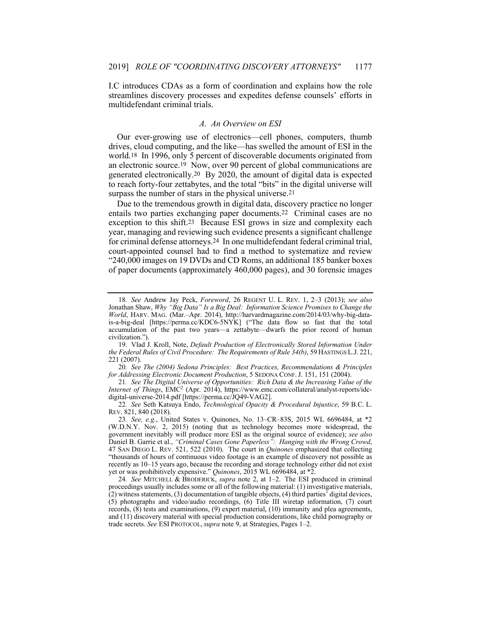I.C introduces CDAs as a form of coordination and explains how the role streamlines discovery processes and expedites defense counsels' efforts in multidefendant criminal trials.

#### *A. An Overview on ESI*

Our ever-growing use of electronics—cell phones, computers, thumb drives, cloud computing, and the like—has swelled the amount of ESI in the world.18 In 1996, only 5 percent of discoverable documents originated from an electronic source.<sup>19</sup> Now, over 90 percent of global communications are generated electronically.20 By 2020, the amount of digital data is expected to reach forty-four zettabytes, and the total "bits" in the digital universe will surpass the number of stars in the physical universe.<sup>21</sup>

Due to the tremendous growth in digital data, discovery practice no longer entails two parties exchanging paper documents.22 Criminal cases are no exception to this shift.23 Because ESI grows in size and complexity each year, managing and reviewing such evidence presents a significant challenge for criminal defense attorneys.24 In one multidefendant federal criminal trial, court-appointed counsel had to find a method to systematize and review "240,000 images on 19 DVDs and CD Roms, an additional 185 banker boxes of paper documents (approximately 460,000 pages), and 30 forensic images

21*. See The Digital Universe of Opportunities: Rich Data & the Increasing Value of the Internet of Things*, EMC2 (Apr. 2014), https://www.emc.com/collateral/analyst-reports/idcdigital-universe-2014.pdf [https://perma.cc/JQ49-VAG2].

22*. See* Seth Katsuya Endo, *Technological Opacity & Procedural Injustice*, 59 B.C. L. REV. 821, 840 (2018).

23*. See, e.g.*, United States v. Quinones, No. 13–CR–83S, 2015 WL 6696484, at \*2 (W.D.N.Y. Nov. 2, 2015) (noting that as technology becomes more widespread, the government inevitably will produce more ESI as the original source of evidence); *see also* Daniel B. Garrie et al., *"Criminal Cases Gone Paperless": Hanging with the Wrong Crowd*, 47 SAN DIEGO L. REV. 521, 522 (2010). The court in *Quinones* emphasized that collecting "thousands of hours of continuous video footage is an example of discovery not possible as recently as 10–15 years ago, because the recording and storage technology either did not exist yet or was prohibitively expensive." *Quinones*, 2015 WL 6696484, at \*2.

24*. See* MITCHELL & BRODERICK, *supra* note 2, at 1–2. The ESI produced in criminal proceedings usually includes some or all of the following material: (1) investigative materials, (2) witness statements, (3) documentation of tangible objects, (4) third parties' digital devices, (5) photographs and video/audio recordings, (6) Title III wiretap information, (7) court records, (8) tests and examinations, (9) expert material, (10) immunity and plea agreements, and (11) discovery material with special production considerations, like child pornography or trade secrets. *See* ESI PROTOCOL, *supra* note 9, at Strategies, Pages 1–2.

<sup>18</sup>*. See* Andrew Jay Peck, *Foreword*, 26 REGENT U. L. REV. 1, 2–3 (2013); *see also* Jonathan Shaw, *Why "Big Data" Is a Big Deal: Information Science Promises to Change the World*, HARV. MAG. (Mar.–Apr. 2014), http://harvardmagazine.com/2014/03/why-big-datais-a-big-deal [https://perma.cc/KDC6-5NYK] ("The data flow so fast that the total accumulation of the past two years—a zettabyte—dwarfs the prior record of human civilization.").

 <sup>19.</sup> Vlad J. Kroll, Note, *Default Production of Electronically Stored Information Under the Federal Rules of Civil Procedure: The Requirements of Rule 34(b)*, 59 HASTINGS L.J. 221, 221 (2007).

<sup>20</sup>*. See The (2004) Sedona Principles: Best Practices, Recommendations & Principles for Addressing Electronic Document Production*, 5 SEDONA CONF. J. 151, 151 (2004).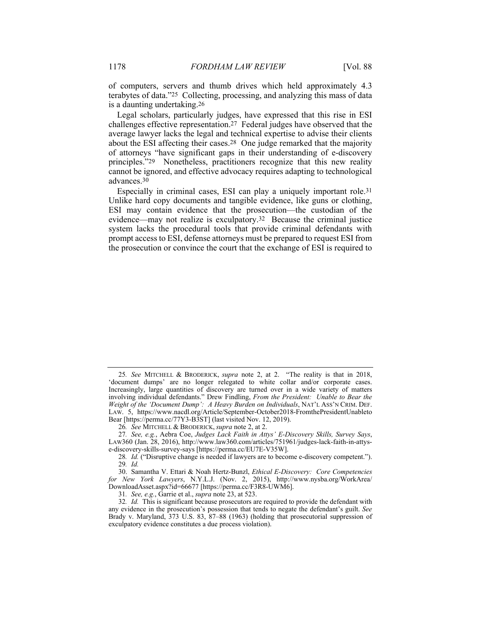of computers, servers and thumb drives which held approximately 4.3 terabytes of data."25 Collecting, processing, and analyzing this mass of data is a daunting undertaking.26

Legal scholars, particularly judges, have expressed that this rise in ESI challenges effective representation.27 Federal judges have observed that the average lawyer lacks the legal and technical expertise to advise their clients about the ESI affecting their cases.28 One judge remarked that the majority of attorneys "have significant gaps in their understanding of e-discovery principles."29 Nonetheless, practitioners recognize that this new reality cannot be ignored, and effective advocacy requires adapting to technological advances.30

Especially in criminal cases, ESI can play a uniquely important role.31 Unlike hard copy documents and tangible evidence, like guns or clothing, ESI may contain evidence that the prosecution—the custodian of the evidence—may not realize is exculpatory.32 Because the criminal justice system lacks the procedural tools that provide criminal defendants with prompt access to ESI, defense attorneys must be prepared to request ESI from the prosecution or convince the court that the exchange of ESI is required to

<sup>25</sup>*. See* MITCHELL & BRODERICK, *supra* note 2, at 2. "The reality is that in 2018, 'document dumps' are no longer relegated to white collar and/or corporate cases. Increasingly, large quantities of discovery are turned over in a wide variety of matters involving individual defendants." Drew Findling, *From the President: Unable to Bear the Weight of the 'Document Dump': A Heavy Burden on Individuals*, NAT'L ASS'N CRIM. DEF. LAW. 5, https://www.nacdl.org/Article/September-October2018-FromthePresidentUnableto Bear [https://perma.cc/77Y3-B3ST] (last visited Nov. 12, 2019).

<sup>26</sup>*. See* MITCHELL & BRODERICK, *supra* note 2, at 2.

<sup>27</sup>*. See, e.g.*, Aebra Coe, *Judges Lack Faith in Attys' E-Discovery Skills, Survey Says*, LAW360 (Jan. 28, 2016), http://www.law360.com/articles/751961/judges-lack-faith-in-attyse-discovery-skills-survey-says [https://perma.cc/EU7E-V35W].

<sup>28</sup>*. Id.* ("Disruptive change is needed if lawyers are to become e-discovery competent."). 29*. Id.*

 <sup>30.</sup> Samantha V. Ettari & Noah Hertz-Bunzl, *Ethical E-Discovery: Core Competencies for New York Lawyers*, N.Y.L.J. (Nov. 2, 2015), http://www.nysba.org/WorkArea/ DownloadAsset.aspx?id=66677 [https://perma.cc/F3R8-UWM6].

<sup>31</sup>*. See, e.g.*, Garrie et al., *supra* note 23, at 523.

<sup>32</sup>*. Id.* This is significant because prosecutors are required to provide the defendant with any evidence in the prosecution's possession that tends to negate the defendant's guilt. *See* Brady v. Maryland, 373 U.S. 83, 87–88 (1963) (holding that prosecutorial suppression of exculpatory evidence constitutes a due process violation).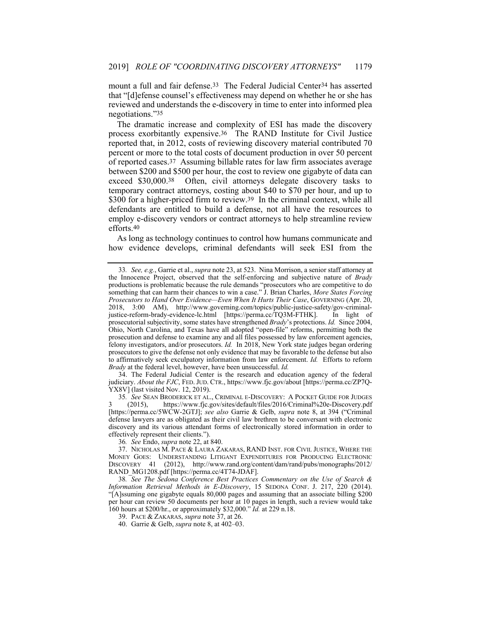mount a full and fair defense.<sup>33</sup> The Federal Judicial Center<sup>34</sup> has asserted that "[d]efense counsel's effectiveness may depend on whether he or she has reviewed and understands the e-discovery in time to enter into informed plea negotiations."35

The dramatic increase and complexity of ESI has made the discovery process exorbitantly expensive.36 The RAND Institute for Civil Justice reported that, in 2012, costs of reviewing discovery material contributed 70 percent or more to the total costs of document production in over 50 percent of reported cases.37 Assuming billable rates for law firm associates average between \$200 and \$500 per hour, the cost to review one gigabyte of data can exceed \$30,000.38 Often, civil attorneys delegate discovery tasks to temporary contract attorneys, costing about \$40 to \$70 per hour, and up to \$300 for a higher-priced firm to review.<sup>39</sup> In the criminal context, while all defendants are entitled to build a defense, not all have the resources to employ e-discovery vendors or contract attorneys to help streamline review efforts.40

As long as technology continues to control how humans communicate and how evidence develops, criminal defendants will seek ESI from the

 34. The Federal Judicial Center is the research and education agency of the federal judiciary. *About the FJC*, FED. JUD. CTR., https://www.fjc.gov/about [https://perma.cc/ZP7Q-YX8V] (last visited Nov. 12, 2019).

35*. See* SEAN BRODERICK ET AL., CRIMINAL E-DISCOVERY: A POCKET GUIDE FOR JUDGES 3 (2015), https://www.fjc.gov/sites/default/files/2016/Criminal%20e-Discovery.pdf [https://perma.cc/5WCW-2GTJ]; *see also* Garrie & Gelb, *supra* note 8, at 394 ("Criminal defense lawyers are as obligated as their civil law brethren to be conversant with electronic discovery and its various attendant forms of electronically stored information in order to effectively represent their clients.").

36*. See* Endo, *supra* note 22, at 840.

 37. NICHOLAS M. PACE & LAURA ZAKARAS, RAND INST. FOR CIVIL JUSTICE, WHERE THE MONEY GOES: UNDERSTANDING LITIGANT EXPENDITURES FOR PRODUCING ELECTRONIC DISCOVERY 41 (2012), http://www.rand.org/content/dam/rand/pubs/monographs/2012/ RAND\_MG1208.pdf [https://perma.cc/4T74-JDAF].

38*. See The Sedona Conference Best Practices Commentary on the Use of Search & Information Retrieval Methods in E-Discovery*, 15 SEDONA CONF. J. 217, 220 (2014). "[A]ssuming one gigabyte equals 80,000 pages and assuming that an associate billing \$200 per hour can review 50 documents per hour at 10 pages in length, such a review would take 160 hours at \$200/hr., or approximately \$32,000." *Id.* at 229 n.18.

39. PACE & ZAKARAS, *supra* note 37, at 26.

40. Garrie & Gelb, *supra* note 8, at 402–03.

<sup>33</sup>*. See, e.g.*, Garrie et al., *supra* note 23, at 523. Nina Morrison, a senior staff attorney at the Innocence Project, observed that the self-enforcing and subjective nature of *Brady* productions is problematic because the rule demands "prosecutors who are competitive to do something that can harm their chances to win a case." J. Brian Charles, *More States Forcing Prosecutors to Hand Over Evidence—Even When It Hurts Their Case*, GOVERNING (Apr. 20, 2018, 3:00 AM), http://www.governing.com/topics/public-justice-safety/gov-criminaljustice-reform-brady-evidence-lc.html [https://perma.cc/TQ3M-FTHK]. In light of prosecutorial subjectivity, some states have strengthened *Brady*'s protections. *Id.* Since 2004, Ohio, North Carolina, and Texas have all adopted "open-file" reforms, permitting both the prosecution and defense to examine any and all files possessed by law enforcement agencies, felony investigators, and/or prosecutors. *Id.* In 2018, New York state judges began ordering prosecutors to give the defense not only evidence that may be favorable to the defense but also to affirmatively seek exculpatory information from law enforcement. *Id.* Efforts to reform *Brady* at the federal level, however, have been unsuccessful. *Id.*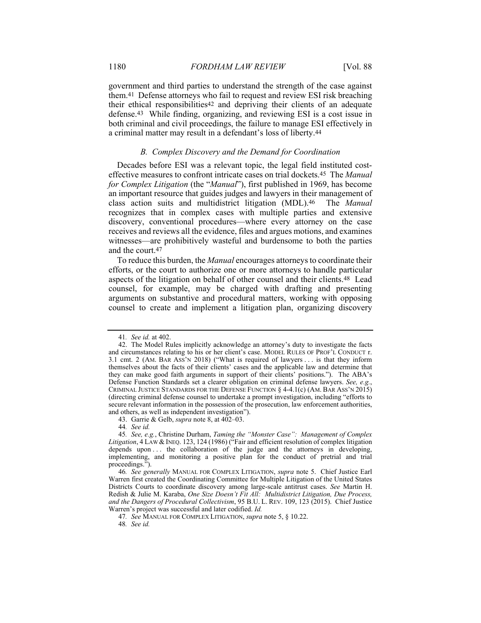government and third parties to understand the strength of the case against them.41 Defense attorneys who fail to request and review ESI risk breaching their ethical responsibilities42 and depriving their clients of an adequate defense.43 While finding, organizing, and reviewing ESI is a cost issue in both criminal and civil proceedings, the failure to manage ESI effectively in a criminal matter may result in a defendant's loss of liberty.44

# *B. Complex Discovery and the Demand for Coordination*

Decades before ESI was a relevant topic, the legal field instituted costeffective measures to confront intricate cases on trial dockets.45 The *Manual for Complex Litigation* (the "*Manual*"), first published in 1969, has become an important resource that guides judges and lawyers in their management of class action suits and multidistrict litigation (MDL).46 The *Manual* recognizes that in complex cases with multiple parties and extensive discovery, conventional procedures—where every attorney on the case receives and reviews all the evidence, files and argues motions, and examines witnesses—are prohibitively wasteful and burdensome to both the parties and the court.47

To reduce this burden, the *Manual* encourages attorneys to coordinate their efforts, or the court to authorize one or more attorneys to handle particular aspects of the litigation on behalf of other counsel and their clients.48 Lead counsel, for example, may be charged with drafting and presenting arguments on substantive and procedural matters, working with opposing counsel to create and implement a litigation plan, organizing discovery

<sup>41</sup>*. See id.* at 402.

 <sup>42.</sup> The Model Rules implicitly acknowledge an attorney's duty to investigate the facts and circumstances relating to his or her client's case. MODEL RULES OF PROF'L CONDUCT r. 3.1 cmt. 2 (AM. BAR ASS'N 2018) ("What is required of lawyers . . . is that they inform themselves about the facts of their clients' cases and the applicable law and determine that they can make good faith arguments in support of their clients' positions."). The ABA's Defense Function Standards set a clearer obligation on criminal defense lawyers. *See, e.g.*, CRIMINAL JUSTICE STANDARDS FOR THE DEFENSE FUNCTION § 4-4.1(c) (AM. BAR ASS'N 2015) (directing criminal defense counsel to undertake a prompt investigation, including "efforts to secure relevant information in the possession of the prosecution, law enforcement authorities, and others, as well as independent investigation").

 <sup>43.</sup> Garrie & Gelb, *supra* note 8, at 402–03.

<sup>44</sup>*. See id.* 

<sup>45</sup>*. See, e.g.*, Christine Durham, *Taming the "Monster Case": Management of Complex Litigation*, 4 LAW & INEQ. 123, 124 (1986) ("Fair and efficient resolution of complex litigation depends upon ... the collaboration of the judge and the attorneys in developing, implementing, and monitoring a positive plan for the conduct of pretrial and trial proceedings.").

<sup>46</sup>*. See generally* MANUAL FOR COMPLEX LITIGATION, *supra* note 5. Chief Justice Earl Warren first created the Coordinating Committee for Multiple Litigation of the United States Districts Courts to coordinate discovery among large-scale antitrust cases. *See* Martin H. Redish & Julie M. Karaba, *One Size Doesn't Fit All: Multidistrict Litigation, Due Process, and the Dangers of Procedural Collectivism*, 95 B.U. L. REV. 109, 123 (2015). Chief Justice Warren's project was successful and later codified. *Id.* 

<sup>47</sup>*. See* MANUAL FOR COMPLEX LITIGATION, *supra* note 5, § 10.22.

<sup>48</sup>*. See id.*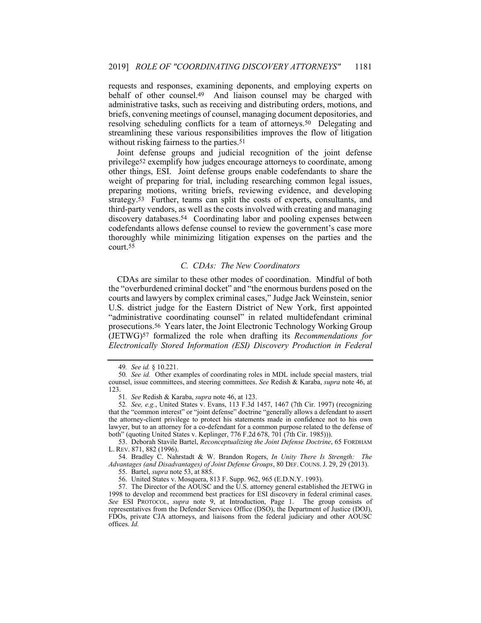requests and responses, examining deponents, and employing experts on behalf of other counsel.49 And liaison counsel may be charged with administrative tasks, such as receiving and distributing orders, motions, and briefs, convening meetings of counsel, managing document depositories, and resolving scheduling conflicts for a team of attorneys.50 Delegating and streamlining these various responsibilities improves the flow of litigation without risking fairness to the parties.<sup>51</sup>

Joint defense groups and judicial recognition of the joint defense privilege52 exemplify how judges encourage attorneys to coordinate, among other things, ESI. Joint defense groups enable codefendants to share the weight of preparing for trial, including researching common legal issues, preparing motions, writing briefs, reviewing evidence, and developing strategy.53 Further, teams can split the costs of experts, consultants, and third-party vendors, as well as the costs involved with creating and managing discovery databases.54 Coordinating labor and pooling expenses between codefendants allows defense counsel to review the government's case more thoroughly while minimizing litigation expenses on the parties and the court.55

# *C. CDAs: The New Coordinators*

CDAs are similar to these other modes of coordination. Mindful of both the "overburdened criminal docket" and "the enormous burdens posed on the courts and lawyers by complex criminal cases," Judge Jack Weinstein, senior U.S. district judge for the Eastern District of New York, first appointed "administrative coordinating counsel" in related multidefendant criminal prosecutions.56 Years later, the Joint Electronic Technology Working Group (JETWG)57 formalized the role when drafting its *Recommendations for Electronically Stored Information (ESI) Discovery Production in Federal* 

 53. Deborah Stavile Bartel, *Reconceptualizing the Joint Defense Doctrine*, 65 FORDHAM L. REV. 871, 882 (1996).

 54. Bradley C. Nahrstadt & W. Brandon Rogers, *In Unity There Is Strength: The Advantages (and Disadvantages) of Joint Defense Groups*, 80 DEF. COUNS. J. 29, 29 (2013).

55. Bartel, *supra* note 53, at 885.

56. United States v. Mosquera, 813 F. Supp. 962, 965 (E.D.N.Y. 1993).

 57. The Director of the AOUSC and the U.S. attorney general established the JETWG in 1998 to develop and recommend best practices for ESI discovery in federal criminal cases. *See* ESI PROTOCOL, *supra* note 9, at Introduction, Page 1. The group consists of representatives from the Defender Services Office (DSO), the Department of Justice (DOJ), FDOs, private CJA attorneys, and liaisons from the federal judiciary and other AOUSC offices. *Id.*

<sup>49</sup>*. See id.* § 10.221.

<sup>50</sup>*. See id.* Other examples of coordinating roles in MDL include special masters, trial counsel, issue committees, and steering committees. *See* Redish & Karaba, *supra* note 46, at 123.

<sup>51</sup>*. See* Redish & Karaba, *supra* note 46, at 123.

<sup>52</sup>*. See, e.g.*, United States v. Evans, 113 F.3d 1457, 1467 (7th Cir. 1997) (recognizing that the "common interest" or "joint defense" doctrine "generally allows a defendant to assert the attorney-client privilege to protect his statements made in confidence not to his own lawyer, but to an attorney for a co-defendant for a common purpose related to the defense of both" (quoting United States v. Keplinger, 776 F.2d 678, 701 (7th Cir. 1985))).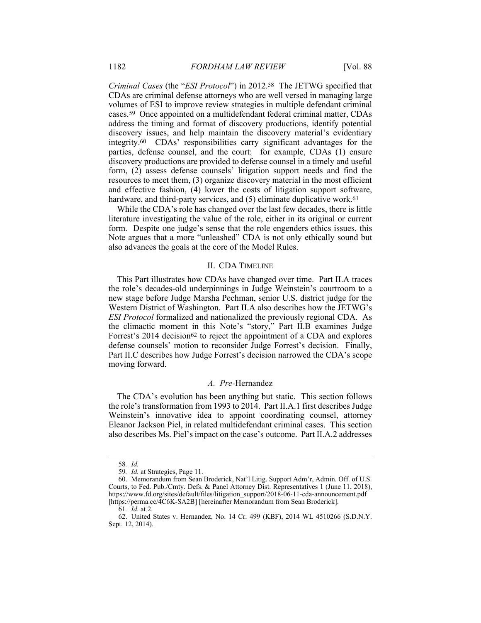*Criminal Cases* (the "*ESI Protocol*") in 2012.58 The JETWG specified that CDAs are criminal defense attorneys who are well versed in managing large volumes of ESI to improve review strategies in multiple defendant criminal cases.59 Once appointed on a multidefendant federal criminal matter, CDAs address the timing and format of discovery productions, identify potential discovery issues, and help maintain the discovery material's evidentiary integrity.60 CDAs' responsibilities carry significant advantages for the parties, defense counsel, and the court: for example, CDAs (1) ensure discovery productions are provided to defense counsel in a timely and useful form, (2) assess defense counsels' litigation support needs and find the resources to meet them, (3) organize discovery material in the most efficient and effective fashion, (4) lower the costs of litigation support software, hardware, and third-party services, and (5) eliminate duplicative work.<sup>61</sup>

While the CDA's role has changed over the last few decades, there is little literature investigating the value of the role, either in its original or current form. Despite one judge's sense that the role engenders ethics issues, this Note argues that a more "unleashed" CDA is not only ethically sound but also advances the goals at the core of the Model Rules.

#### II. CDA TIMELINE

This Part illustrates how CDAs have changed over time. Part II.A traces the role's decades-old underpinnings in Judge Weinstein's courtroom to a new stage before Judge Marsha Pechman, senior U.S. district judge for the Western District of Washington. Part II.A also describes how the JETWG's *ESI Protocol* formalized and nationalized the previously regional CDA. As the climactic moment in this Note's "story," Part II.B examines Judge Forrest's 2014 decision<sup>62</sup> to reject the appointment of a CDA and explores defense counsels' motion to reconsider Judge Forrest's decision. Finally, Part II.C describes how Judge Forrest's decision narrowed the CDA's scope moving forward.

# *A. Pre-*Hernandez

The CDA's evolution has been anything but static. This section follows the role's transformation from 1993 to 2014. Part II.A.1 first describes Judge Weinstein's innovative idea to appoint coordinating counsel, attorney Eleanor Jackson Piel, in related multidefendant criminal cases. This section also describes Ms. Piel's impact on the case's outcome. Part II.A.2 addresses

<sup>58</sup>*. Id.*

<sup>59</sup>*. Id.* at Strategies, Page 11.

 <sup>60.</sup> Memorandum from Sean Broderick, Nat'l Litig. Support Adm'r, Admin. Off. of U.S. Courts, to Fed. Pub./Cmty. Defs. & Panel Attorney Dist. Representatives 1 (June 11, 2018), https://www.fd.org/sites/default/files/litigation\_support/2018-06-11-cda-announcement.pdf [https://perma.cc/4C6K-SA2B] [hereinafter Memorandum from Sean Broderick].

<sup>61</sup>*. Id.* at 2.

 <sup>62.</sup> United States v. Hernandez, No. 14 Cr. 499 (KBF), 2014 WL 4510266 (S.D.N.Y. Sept. 12, 2014).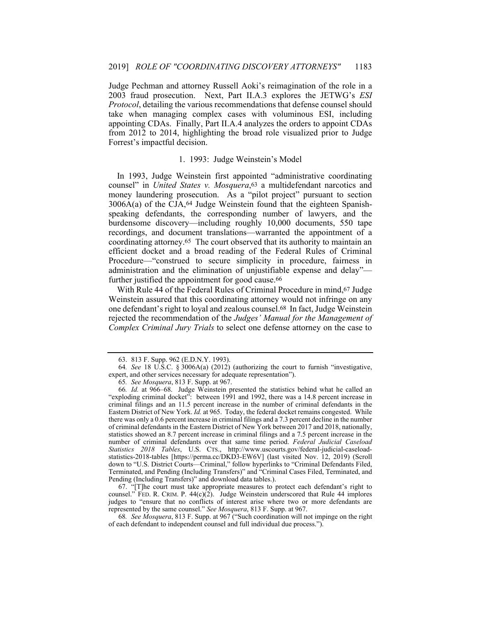Judge Pechman and attorney Russell Aoki's reimagination of the role in a 2003 fraud prosecution. Next, Part II.A.3 explores the JETWG's *ESI Protocol*, detailing the various recommendations that defense counsel should take when managing complex cases with voluminous ESI, including appointing CDAs. Finally, Part II.A.4 analyzes the orders to appoint CDAs from 2012 to 2014, highlighting the broad role visualized prior to Judge Forrest's impactful decision.

# 1. 1993: Judge Weinstein's Model

In 1993, Judge Weinstein first appointed "administrative coordinating counsel" in *United States v. Mosquera*,63 a multidefendant narcotics and money laundering prosecution. As a "pilot project" pursuant to section  $3006A(a)$  of the CJA,  $64$  Judge Weinstein found that the eighteen Spanishspeaking defendants, the corresponding number of lawyers, and the burdensome discovery—including roughly 10,000 documents, 550 tape recordings, and document translations—warranted the appointment of a coordinating attorney.65 The court observed that its authority to maintain an efficient docket and a broad reading of the Federal Rules of Criminal Procedure—"construed to secure simplicity in procedure, fairness in administration and the elimination of unjustifiable expense and delay" further justified the appointment for good cause.<sup>66</sup>

With Rule 44 of the Federal Rules of Criminal Procedure in mind, 67 Judge Weinstein assured that this coordinating attorney would not infringe on any one defendant's right to loyal and zealous counsel.68 In fact, Judge Weinstein rejected the recommendation of the *Judges' Manual for the Management of Complex Criminal Jury Trials* to select one defense attorney on the case to

 67. "[T]he court must take appropriate measures to protect each defendant's right to counsel." FED. R. CRIM. P.  $44(c)(2)$ . Judge Weinstein underscored that Rule 44 implores judges to "ensure that no conflicts of interest arise where two or more defendants are represented by the same counsel." *See Mosquera*, 813 F. Supp. at 967.

68*. See Mosquera*, 813 F. Supp. at 967 ("Such coordination will not impinge on the right of each defendant to independent counsel and full individual due process.").

 <sup>63. 813</sup> F. Supp. 962 (E.D.N.Y. 1993).

<sup>64</sup>*. See* 18 U.S.C. § 3006A(a) (2012) (authorizing the court to furnish "investigative, expert, and other services necessary for adequate representation").

<sup>65</sup>*. See Mosquera*, 813 F. Supp. at 967.

<sup>66</sup>*. Id.* at 966–68. Judge Weinstein presented the statistics behind what he called an "exploding criminal docket": between 1991 and 1992, there was a 14.8 percent increase in criminal filings and an 11.5 percent increase in the number of criminal defendants in the Eastern District of New York. *Id.* at 965. Today, the federal docket remains congested. While there was only a 0.6 percent increase in criminal filings and a 7.3 percent decline in the number of criminal defendants in the Eastern District of New York between 2017 and 2018, nationally, statistics showed an 8.7 percent increase in criminal filings and a 7.5 percent increase in the number of criminal defendants over that same time period. *Federal Judicial Caseload Statistics 2018 Tables*, U.S. CTS., http://www.uscourts.gov/federal-judicial-caseloadstatistics-2018-tables [https://perma.cc/DKD3-EW6V] (last visited Nov. 12, 2019) (Scroll down to "U.S. District Courts—Criminal," follow hyperlinks to "Criminal Defendants Filed, Terminated, and Pending (Including Transfers)" and "Criminal Cases Filed, Terminated, and Pending (Including Transfers)" and download data tables.).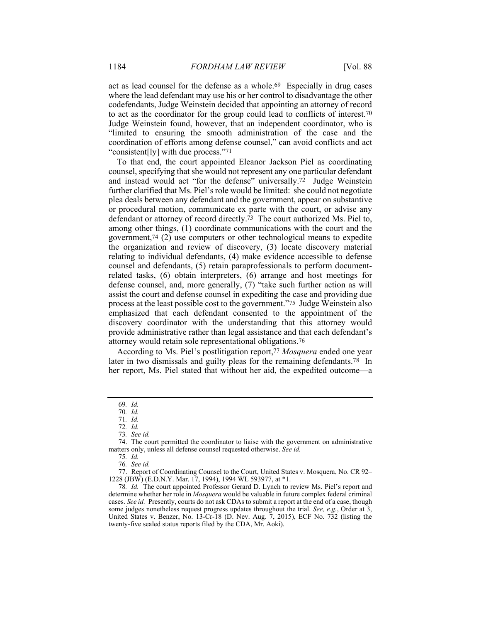act as lead counsel for the defense as a whole.69 Especially in drug cases where the lead defendant may use his or her control to disadvantage the other codefendants, Judge Weinstein decided that appointing an attorney of record to act as the coordinator for the group could lead to conflicts of interest.70 Judge Weinstein found, however, that an independent coordinator, who is "limited to ensuring the smooth administration of the case and the coordination of efforts among defense counsel," can avoid conflicts and act "consistent[ly] with due process."71

To that end, the court appointed Eleanor Jackson Piel as coordinating counsel, specifying that she would not represent any one particular defendant and instead would act "for the defense" universally.72 Judge Weinstein further clarified that Ms. Piel's role would be limited: she could not negotiate plea deals between any defendant and the government, appear on substantive or procedural motion, communicate ex parte with the court, or advise any defendant or attorney of record directly.73 The court authorized Ms. Piel to, among other things, (1) coordinate communications with the court and the government,74 (2) use computers or other technological means to expedite the organization and review of discovery, (3) locate discovery material relating to individual defendants, (4) make evidence accessible to defense counsel and defendants, (5) retain paraprofessionals to perform documentrelated tasks, (6) obtain interpreters, (6) arrange and host meetings for defense counsel, and, more generally, (7) "take such further action as will assist the court and defense counsel in expediting the case and providing due process at the least possible cost to the government."75 Judge Weinstein also emphasized that each defendant consented to the appointment of the discovery coordinator with the understanding that this attorney would provide administrative rather than legal assistance and that each defendant's attorney would retain sole representational obligations.76

According to Ms. Piel's postlitigation report,77 *Mosquera* ended one year later in two dismissals and guilty pleas for the remaining defendants.<sup>78</sup> In her report, Ms. Piel stated that without her aid, the expedited outcome—a

 77. Report of Coordinating Counsel to the Court, United States v. Mosquera, No. CR 92– 1228 (JBW) (E.D.N.Y. Mar. 17, 1994), 1994 WL 593977, at \*1.

<sup>69</sup>*. Id.* 

<sup>70</sup>*. Id.* 

<sup>71</sup>*. Id.*

<sup>72</sup>*. Id.*

<sup>73</sup>*. See id.*

 <sup>74.</sup> The court permitted the coordinator to liaise with the government on administrative matters only, unless all defense counsel requested otherwise. *See id.* 

<sup>75</sup>*. Id.*

<sup>76</sup>*. See id.* 

<sup>78</sup>*. Id.* The court appointed Professor Gerard D. Lynch to review Ms. Piel's report and determine whether her role in *Mosquera* would be valuable in future complex federal criminal cases. *See id.* Presently, courts do not ask CDAs to submit a report at the end of a case, though some judges nonetheless request progress updates throughout the trial. *See, e.g.*, Order at 3, United States v. Benzer, No. 13-Cr-18 (D. Nev. Aug. 7, 2015), ECF No. 732 (listing the twenty-five sealed status reports filed by the CDA, Mr. Aoki).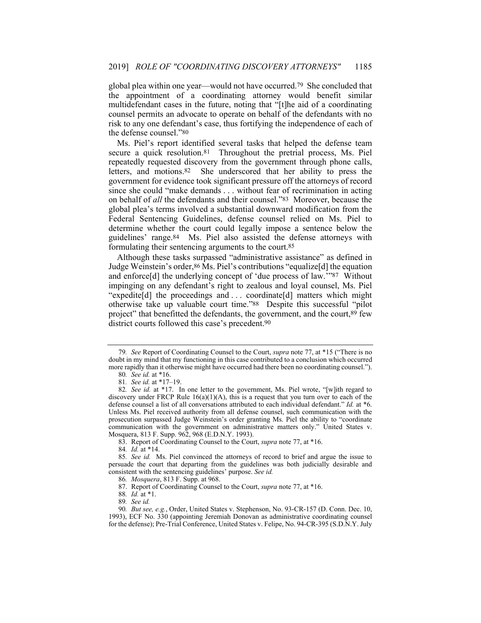global plea within one year—would not have occurred.79 She concluded that the appointment of a coordinating attorney would benefit similar multidefendant cases in the future, noting that "[t]he aid of a coordinating counsel permits an advocate to operate on behalf of the defendants with no risk to any one defendant's case, thus fortifying the independence of each of the defense counsel."80

Ms. Piel's report identified several tasks that helped the defense team secure a quick resolution.81 Throughout the pretrial process, Ms. Piel repeatedly requested discovery from the government through phone calls, letters, and motions.82 She underscored that her ability to press the government for evidence took significant pressure off the attorneys of record since she could "make demands . . . without fear of recrimination in acting on behalf of *all* the defendants and their counsel."83 Moreover, because the global plea's terms involved a substantial downward modification from the Federal Sentencing Guidelines, defense counsel relied on Ms. Piel to determine whether the court could legally impose a sentence below the guidelines' range.84 Ms. Piel also assisted the defense attorneys with formulating their sentencing arguments to the court.85

Although these tasks surpassed "administrative assistance" as defined in Judge Weinstein's order, <sup>86</sup> Ms. Piel's contributions "equalize<sup>[d]</sup> the equation and enforce[d] the underlying concept of 'due process of law.'"87 Without impinging on any defendant's right to zealous and loyal counsel, Ms. Piel "expedite[d] the proceedings and . . . coordinate[d] matters which might otherwise take up valuable court time."88 Despite this successful "pilot project" that benefitted the defendants, the government, and the court,89 few district courts followed this case's precedent.90

<sup>79</sup>*. See* Report of Coordinating Counsel to the Court, *supra* note 77, at \*15 ("There is no doubt in my mind that my functioning in this case contributed to a conclusion which occurred more rapidly than it otherwise might have occurred had there been no coordinating counsel.").

<sup>80</sup>*. See id.* at \*16. 81*. See id.* at \*17–19.

<sup>82</sup>*. See id.* at \*17. In one letter to the government, Ms. Piel wrote, "[w]ith regard to discovery under FRCP Rule  $16(a)(1)(A)$ , this is a request that you turn over to each of the defense counsel a list of all conversations attributed to each individual defendant." *Id.* at \*6. Unless Ms. Piel received authority from all defense counsel, such communication with the prosecution surpassed Judge Weinstein's order granting Ms. Piel the ability to "coordinate communication with the government on administrative matters only." United States v. Mosquera, 813 F. Supp. 962, 968 (E.D.N.Y. 1993).

 <sup>83.</sup> Report of Coordinating Counsel to the Court, *supra* note 77, at \*16.

<sup>84</sup>*. Id.* at \*14.

<sup>85</sup>*. See id.* Ms. Piel convinced the attorneys of record to brief and argue the issue to persuade the court that departing from the guidelines was both judicially desirable and consistent with the sentencing guidelines' purpose. *See id.*

<sup>86</sup>*. Mosquera*, 813 F. Supp. at 968.

 <sup>87.</sup> Report of Coordinating Counsel to the Court, *supra* note 77, at \*16.

<sup>88</sup>*. Id.* at \*1.

<sup>89</sup>*. See id.*

<sup>90</sup>*. But see, e.g.*, Order, United States v. Stephenson, No. 93-CR-157 (D. Conn. Dec. 10, 1993), ECF No. 330 (appointing Jeremiah Donovan as administrative coordinating counsel for the defense); Pre-Trial Conference, United States v. Felipe, No. 94-CR-395 (S.D.N.Y. July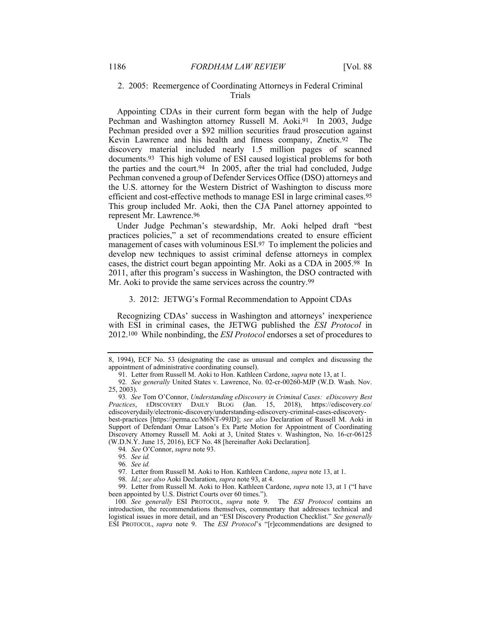# 2. 2005: Reemergence of Coordinating Attorneys in Federal Criminal Trials

Appointing CDAs in their current form began with the help of Judge Pechman and Washington attorney Russell M. Aoki.91 In 2003, Judge Pechman presided over a \$92 million securities fraud prosecution against Kevin Lawrence and his health and fitness company, Znetix.92 The discovery material included nearly 1.5 million pages of scanned documents.93 This high volume of ESI caused logistical problems for both the parties and the court.94 In 2005, after the trial had concluded, Judge Pechman convened a group of Defender Services Office (DSO) attorneys and the U.S. attorney for the Western District of Washington to discuss more efficient and cost-effective methods to manage ESI in large criminal cases.95 This group included Mr. Aoki, then the CJA Panel attorney appointed to represent Mr. Lawrence.96

Under Judge Pechman's stewardship, Mr. Aoki helped draft "best practices policies," a set of recommendations created to ensure efficient management of cases with voluminous ESI.97 To implement the policies and develop new techniques to assist criminal defense attorneys in complex cases, the district court began appointing Mr. Aoki as a CDA in 2005.98 In 2011, after this program's success in Washington, the DSO contracted with Mr. Aoki to provide the same services across the country.<sup>99</sup>

#### 3. 2012: JETWG's Formal Recommendation to Appoint CDAs

Recognizing CDAs' success in Washington and attorneys' inexperience with ESI in criminal cases, the JETWG published the *ESI Protocol* in 2012.100 While nonbinding, the *ESI Protocol* endorses a set of procedures to

 99. Letter from Russell M. Aoki to Hon. Kathleen Cardone, *supra* note 13, at 1 ("I have been appointed by U.S. District Courts over 60 times.").

100*. See generally* ESI PROTOCOL, *supra* note 9. The *ESI Protocol* contains an introduction, the recommendations themselves, commentary that addresses technical and logistical issues in more detail, and an "ESI Discovery Production Checklist." *See generally* ESI PROTOCOL, *supra* note 9. The *ESI Protocol*'s "[r]ecommendations are designed to

<sup>8, 1994),</sup> ECF No. 53 (designating the case as unusual and complex and discussing the appointment of administrative coordinating counsel).

 <sup>91.</sup> Letter from Russell M. Aoki to Hon. Kathleen Cardone, *supra* note 13, at 1.

<sup>92</sup>*. See generally* United States v. Lawrence, No. 02-cr-00260-MJP (W.D. Wash. Nov. 25, 2003).

<sup>93</sup>*. See* Tom O'Connor, *Understanding eDiscovery in Criminal Cases: eDiscovery Best Practices*, EDISCOVERY DAILY BLOG (Jan. 15, 2018), https://ediscovery.co/ ediscoverydaily/electronic-discovery/understanding-ediscovery-criminal-cases-ediscoverybest-practices [https://perma.cc/M6NT-99JD]; *see also* Declaration of Russell M. Aoki in Support of Defendant Omar Latson's Ex Parte Motion for Appointment of Coordinating Discovery Attorney Russell M. Aoki at 3, United States v. Washington, No. 16-cr-06125 (W.D.N.Y. June 15, 2016), ECF No. 48 [hereinafter Aoki Declaration].

<sup>94</sup>*. See* O'Connor, *supra* note 93.

<sup>95</sup>*. See id.*

<sup>96</sup>*. See id.* 

 <sup>97.</sup> Letter from Russell M. Aoki to Hon. Kathleen Cardone, *supra* note 13, at 1.

<sup>98</sup>*. Id.*; *see also* Aoki Declaration, *supra* note 93, at 4.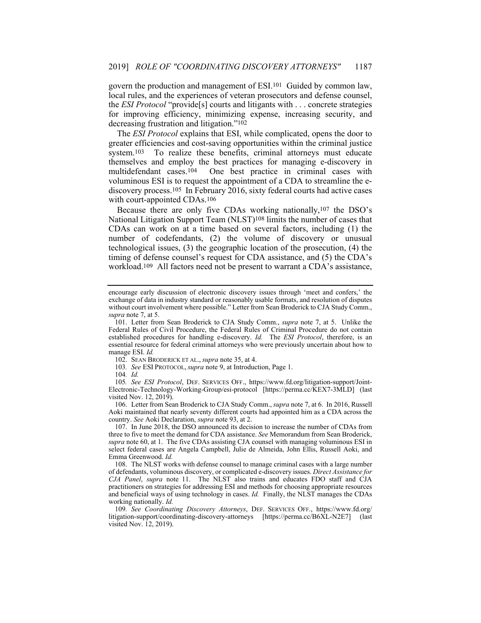govern the production and management of ESI.101 Guided by common law, local rules, and the experiences of veteran prosecutors and defense counsel, the *ESI Protocol* "provide[s] courts and litigants with . . . concrete strategies for improving efficiency, minimizing expense, increasing security, and decreasing frustration and litigation."102

The *ESI Protocol* explains that ESI, while complicated, opens the door to greater efficiencies and cost-saving opportunities within the criminal justice system.<sup>103</sup> To realize these benefits, criminal attorneys must educate themselves and employ the best practices for managing e-discovery in multidefendant cases.104 One best practice in criminal cases with voluminous ESI is to request the appointment of a CDA to streamline the ediscovery process.<sup>105</sup> In February  $2016$ , sixty federal courts had active cases with court-appointed CDAs.106

Because there are only five CDAs working nationally,107 the DSO's National Litigation Support Team (NLST)108 limits the number of cases that CDAs can work on at a time based on several factors, including (1) the number of codefendants, (2) the volume of discovery or unusual technological issues, (3) the geographic location of the prosecution, (4) the timing of defense counsel's request for CDA assistance, and (5) the CDA's workload.109 All factors need not be present to warrant a CDA's assistance,

104*. Id.*

 106. Letter from Sean Broderick to CJA Study Comm., *supra* note 7, at 6. In 2016, Russell Aoki maintained that nearly seventy different courts had appointed him as a CDA across the country. *See* Aoki Declaration, *supra* note 93, at 2.

 107. In June 2018, the DSO announced its decision to increase the number of CDAs from three to five to meet the demand for CDA assistance. *See* Memorandum from Sean Broderick, *supra* note 60, at 1. The five CDAs assisting CJA counsel with managing voluminous ESI in select federal cases are Angela Campbell, Julie de Almeida, John Ellis, Russell Aoki, and Emma Greenwood. *Id.*

 108. The NLST works with defense counsel to manage criminal cases with a large number of defendants, voluminous discovery, or complicated e-discovery issues. *Direct Assistance for CJA Panel*, *supra* note 11. The NLST also trains and educates FDO staff and CJA practitioners on strategies for addressing ESI and methods for choosing appropriate resources and beneficial ways of using technology in cases. *Id.* Finally, the NLST manages the CDAs working nationally. *Id.* 

109*. See Coordinating Discovery Attorneys*, DEF. SERVICES OFF., https://www.fd.org/ litigation-support/coordinating-discovery-attorneys [https://perma.cc/B6XL-N2E7] (last visited Nov. 12, 2019).

encourage early discussion of electronic discovery issues through 'meet and confers,' the exchange of data in industry standard or reasonably usable formats, and resolution of disputes without court involvement where possible." Letter from Sean Broderick to CJA Study Comm., *supra* note 7, at 5.

 <sup>101.</sup> Letter from Sean Broderick to CJA Study Comm., *supra* note 7, at 5. Unlike the Federal Rules of Civil Procedure, the Federal Rules of Criminal Procedure do not contain established procedures for handling e-discovery. *Id.* The *ESI Protocol*, therefore, is an essential resource for federal criminal attorneys who were previously uncertain about how to manage ESI. *Id.* 

 <sup>102.</sup> SEAN BRODERICK ET AL., *supra* note 35, at 4.

<sup>103</sup>*. See* ESI PROTOCOL, *supra* note 9, at Introduction, Page 1.

<sup>105</sup>*. See ESI Protocol*, DEF. SERVICES OFF., https://www.fd.org/litigation-support/Joint-Electronic-Technology-Working-Group/esi-protocol [https://perma.cc/KEX7-3MLD] (last visited Nov. 12, 2019).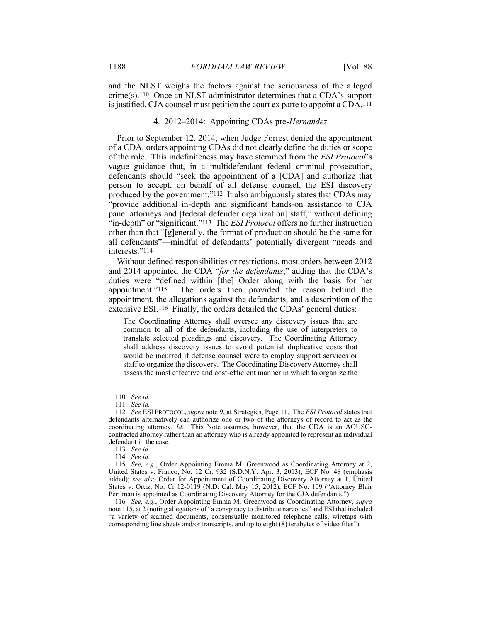and the NLST weighs the factors against the seriousness of the alleged crime(s).110 Once an NLST administrator determines that a CDA's support is justified, CJA counsel must petition the court ex parte to appoint a CDA.111

# 4. 2012–2014: Appointing CDAs pre-*Hernandez*

Prior to September 12, 2014, when Judge Forrest denied the appointment of a CDA, orders appointing CDAs did not clearly define the duties or scope of the role. This indefiniteness may have stemmed from the *ESI Protocol*'s vague guidance that, in a multidefendant federal criminal prosecution, defendants should "seek the appointment of a [CDA] and authorize that person to accept, on behalf of all defense counsel, the ESI discovery produced by the government."112 It also ambiguously states that CDAs may "provide additional in-depth and significant hands-on assistance to CJA panel attorneys and [federal defender organization] staff," without defining "in-depth" or "significant."113 The *ESI Protocol* offers no further instruction other than that "[g]enerally, the format of production should be the same for all defendants"—mindful of defendants' potentially divergent "needs and interests."114

Without defined responsibilities or restrictions, most orders between 2012 and 2014 appointed the CDA "*for the defendants*," adding that the CDA's duties were "defined within [the] Order along with the basis for her appointment."<sup>115</sup> The orders then provided the reason behind the The orders then provided the reason behind the appointment, the allegations against the defendants, and a description of the extensive ESI.116 Finally, the orders detailed the CDAs' general duties:

The Coordinating Attorney shall oversee any discovery issues that are common to all of the defendants, including the use of interpreters to translate selected pleadings and discovery. The Coordinating Attorney shall address discovery issues to avoid potential duplicative costs that would be incurred if defense counsel were to employ support services or staff to organize the discovery. The Coordinating Discovery Attorney shall assess the most effective and cost-efficient manner in which to organize the

116*. See, e.g.*, Order Appointing Emma M. Greenwood as Coordinating Attorney, *supra* note 115, at 2 (noting allegations of "a conspiracy to distribute narcotics" and ESI that included "a variety of scanned documents, consensually monitored telephone calls, wiretaps with corresponding line sheets and/or transcripts, and up to eight (8) terabytes of video files").

<sup>110</sup>*. See id.*

<sup>111</sup>*. See id.*

<sup>112</sup>*. See* ESI PROTOCOL, *supra* note 9, at Strategies, Page 11. The *ESI Protocol* states that defendants alternatively can authorize one or two of the attorneys of record to act as the coordinating attorney. *Id.* This Note assumes, however, that the CDA is an AOUSCcontracted attorney rather than an attorney who is already appointed to represent an individual defendant in the case.

<sup>113</sup>*. See id.*

<sup>114</sup>*. See id.* 

<sup>115</sup>*. See, e.g.*, Order Appointing Emma M. Greenwood as Coordinating Attorney at 2, United States v. Franco, No. 12 Cr. 932 (S.D.N.Y. Apr. 3, 2013), ECF No. 48 (emphasis added); *see also* Order for Appointment of Coordinating Discovery Attorney at 1, United States v. Ortiz, No. Cr 12-0119 (N.D. Cal. May 15, 2012), ECF No. 109 ("Attorney Blair Perilman is appointed as Coordinating Discovery Attorney for the CJA defendants.").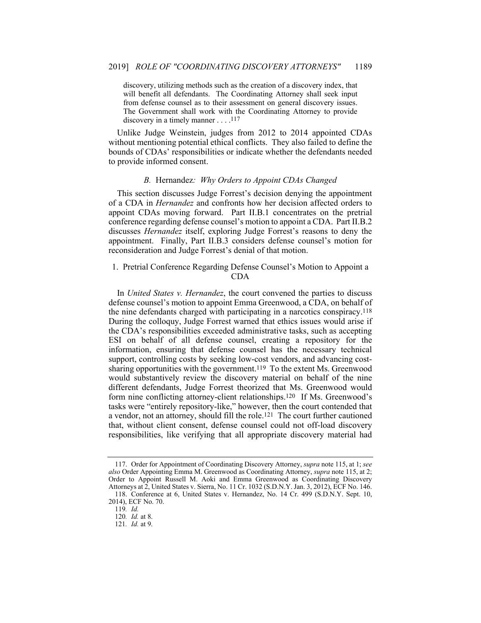discovery, utilizing methods such as the creation of a discovery index, that will benefit all defendants. The Coordinating Attorney shall seek input from defense counsel as to their assessment on general discovery issues. The Government shall work with the Coordinating Attorney to provide discovery in a timely manner . . . .<sup>117</sup>

Unlike Judge Weinstein, judges from 2012 to 2014 appointed CDAs without mentioning potential ethical conflicts. They also failed to define the bounds of CDAs' responsibilities or indicate whether the defendants needed to provide informed consent.

#### *B.* Hernandez*: Why Orders to Appoint CDAs Changed*

This section discusses Judge Forrest's decision denying the appointment of a CDA in *Hernandez* and confronts how her decision affected orders to appoint CDAs moving forward. Part II.B.1 concentrates on the pretrial conference regarding defense counsel's motion to appoint a CDA. Part II.B.2 discusses *Hernandez* itself, exploring Judge Forrest's reasons to deny the appointment. Finally, Part II.B.3 considers defense counsel's motion for reconsideration and Judge Forrest's denial of that motion.

# 1. Pretrial Conference Regarding Defense Counsel's Motion to Appoint a CDA

In *United States v. Hernandez*, the court convened the parties to discuss defense counsel's motion to appoint Emma Greenwood, a CDA, on behalf of the nine defendants charged with participating in a narcotics conspiracy.118 During the colloquy, Judge Forrest warned that ethics issues would arise if the CDA's responsibilities exceeded administrative tasks, such as accepting ESI on behalf of all defense counsel, creating a repository for the information, ensuring that defense counsel has the necessary technical support, controlling costs by seeking low-cost vendors, and advancing costsharing opportunities with the government.119 To the extent Ms. Greenwood would substantively review the discovery material on behalf of the nine different defendants, Judge Forrest theorized that Ms. Greenwood would form nine conflicting attorney-client relationships.120 If Ms. Greenwood's tasks were "entirely repository-like," however, then the court contended that a vendor, not an attorney, should fill the role.121 The court further cautioned that, without client consent, defense counsel could not off-load discovery responsibilities, like verifying that all appropriate discovery material had

 <sup>117.</sup> Order for Appointment of Coordinating Discovery Attorney, *supra* note 115, at 1; *see also* Order Appointing Emma M. Greenwood as Coordinating Attorney, *supra* note 115, at 2; Order to Appoint Russell M. Aoki and Emma Greenwood as Coordinating Discovery Attorneys at 2, United States v. Sierra, No. 11 Cr. 1032 (S.D.N.Y. Jan. 3, 2012), ECF No. 146. 118. Conference at 6, United States v. Hernandez, No. 14 Cr. 499 (S.D.N.Y. Sept. 10, 2014), ECF No. 70.

<sup>119</sup>*. Id.*

<sup>120</sup>*. Id.* at 8.

<sup>121</sup>*. Id.* at 9.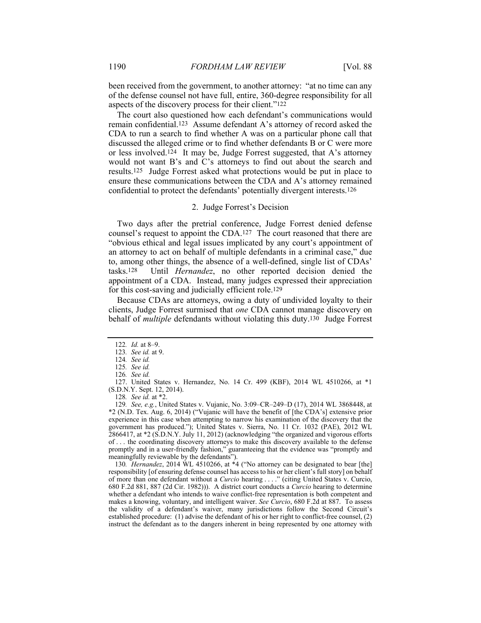been received from the government, to another attorney: "at no time can any of the defense counsel not have full, entire, 360-degree responsibility for all aspects of the discovery process for their client."122

The court also questioned how each defendant's communications would remain confidential.123 Assume defendant A's attorney of record asked the CDA to run a search to find whether A was on a particular phone call that discussed the alleged crime or to find whether defendants B or C were more or less involved.124 It may be, Judge Forrest suggested, that A's attorney would not want B's and C's attorneys to find out about the search and results.125 Judge Forrest asked what protections would be put in place to ensure these communications between the CDA and A's attorney remained confidential to protect the defendants' potentially divergent interests.126

# 2. Judge Forrest's Decision

Two days after the pretrial conference, Judge Forrest denied defense counsel's request to appoint the CDA.127 The court reasoned that there are "obvious ethical and legal issues implicated by any court's appointment of an attorney to act on behalf of multiple defendants in a criminal case," due to, among other things, the absence of a well-defined, single list of CDAs' tasks.128 Until *Hernandez*, no other reported decision denied the appointment of a CDA. Instead, many judges expressed their appreciation for this cost-saving and judicially efficient role.129

Because CDAs are attorneys, owing a duty of undivided loyalty to their clients, Judge Forrest surmised that *one* CDA cannot manage discovery on behalf of *multiple* defendants without violating this duty.130 Judge Forrest

128*. See id.* at \*2.

130*. Hernandez*, 2014 WL 4510266, at \*4 ("No attorney can be designated to bear [the] responsibility [of ensuring defense counsel has access to his or her client's full story] on behalf of more than one defendant without a *Curcio* hearing . . . ." (citing United States v. Curcio, 680 F.2d 881, 887 (2d Cir. 1982))). A district court conducts a *Curcio* hearing to determine whether a defendant who intends to waive conflict-free representation is both competent and makes a knowing, voluntary, and intelligent waiver. *See Curcio*, 680 F.2d at 887. To assess the validity of a defendant's waiver, many jurisdictions follow the Second Circuit's established procedure: (1) advise the defendant of his or her right to conflict-free counsel, (2) instruct the defendant as to the dangers inherent in being represented by one attorney with

<sup>122</sup>*. Id.* at 8–9.

<sup>123</sup>*. See id.* at 9.

<sup>124</sup>*. See id.* 

<sup>125</sup>*. See id.*

<sup>126</sup>*. See id.*

 <sup>127.</sup> United States v. Hernandez, No. 14 Cr. 499 (KBF), 2014 WL 4510266, at \*1 (S.D.N.Y. Sept. 12, 2014).

<sup>129</sup>*. See, e.g.*, United States v. Vujanic, No. 3:09–CR–249–D (17), 2014 WL 3868448, at \*2 (N.D. Tex. Aug. 6, 2014) ("Vujanic will have the benefit of [the CDA's] extensive prior experience in this case when attempting to narrow his examination of the discovery that the government has produced."); United States v. Sierra, No. 11 Cr. 1032 (PAE), 2012 WL 2866417, at \*2 (S.D.N.Y. July 11, 2012) (acknowledging "the organized and vigorous efforts of . . . the coordinating discovery attorneys to make this discovery available to the defense promptly and in a user-friendly fashion," guaranteeing that the evidence was "promptly and meaningfully reviewable by the defendants").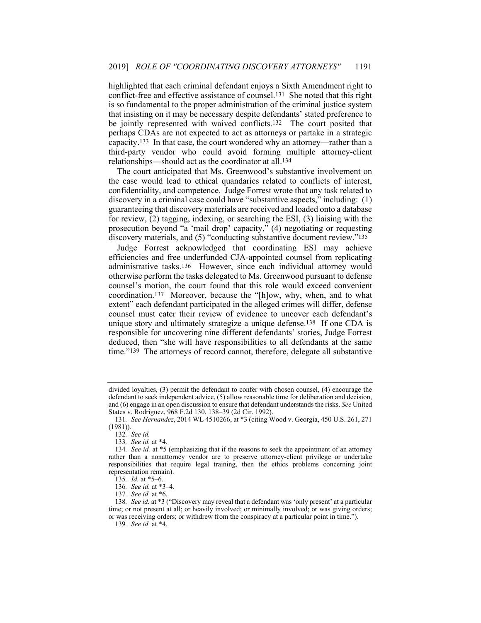highlighted that each criminal defendant enjoys a Sixth Amendment right to conflict-free and effective assistance of counsel.131 She noted that this right is so fundamental to the proper administration of the criminal justice system that insisting on it may be necessary despite defendants' stated preference to be jointly represented with waived conflicts.132 The court posited that perhaps CDAs are not expected to act as attorneys or partake in a strategic capacity.133 In that case, the court wondered why an attorney—rather than a third-party vendor who could avoid forming multiple attorney-client relationships—should act as the coordinator at all.134

The court anticipated that Ms. Greenwood's substantive involvement on the case would lead to ethical quandaries related to conflicts of interest, confidentiality, and competence. Judge Forrest wrote that any task related to discovery in a criminal case could have "substantive aspects," including: (1) guaranteeing that discovery materials are received and loaded onto a database for review, (2) tagging, indexing, or searching the ESI, (3) liaising with the prosecution beyond "a 'mail drop' capacity," (4) negotiating or requesting discovery materials, and (5) "conducting substantive document review."135

Judge Forrest acknowledged that coordinating ESI may achieve efficiencies and free underfunded CJA-appointed counsel from replicating administrative tasks.136 However, since each individual attorney would otherwise perform the tasks delegated to Ms. Greenwood pursuant to defense counsel's motion, the court found that this role would exceed convenient coordination.137 Moreover, because the "[h]ow, why, when, and to what extent" each defendant participated in the alleged crimes will differ, defense counsel must cater their review of evidence to uncover each defendant's unique story and ultimately strategize a unique defense.138 If one CDA is responsible for uncovering nine different defendants' stories, Judge Forrest deduced, then "she will have responsibilities to all defendants at the same time."139 The attorneys of record cannot, therefore, delegate all substantive

divided loyalties, (3) permit the defendant to confer with chosen counsel, (4) encourage the defendant to seek independent advice, (5) allow reasonable time for deliberation and decision, and (6) engage in an open discussion to ensure that defendant understands the risks. *See* United States v. Rodriguez, 968 F.2d 130, 138–39 (2d Cir. 1992).

<sup>131</sup>*. See Hernandez*, 2014 WL 4510266, at \*3 (citing Wood v. Georgia, 450 U.S. 261, 271 (1981)).

<sup>132</sup>*. See id.*

<sup>133</sup>*. See id.* at \*4.

<sup>134</sup>*. See id.* at \*5 (emphasizing that if the reasons to seek the appointment of an attorney rather than a nonattorney vendor are to preserve attorney-client privilege or undertake responsibilities that require legal training, then the ethics problems concerning joint representation remain).

<sup>135</sup>*. Id.* at \*5–6.

<sup>136</sup>*. See id.* at \*3–4.

<sup>137</sup>*. See id.* at \*6.

<sup>138</sup>*. See id.* at \*3 ("Discovery may reveal that a defendant was 'only present' at a particular time; or not present at all; or heavily involved; or minimally involved; or was giving orders; or was receiving orders; or withdrew from the conspiracy at a particular point in time.").

<sup>139</sup>*. See id.* at \*4.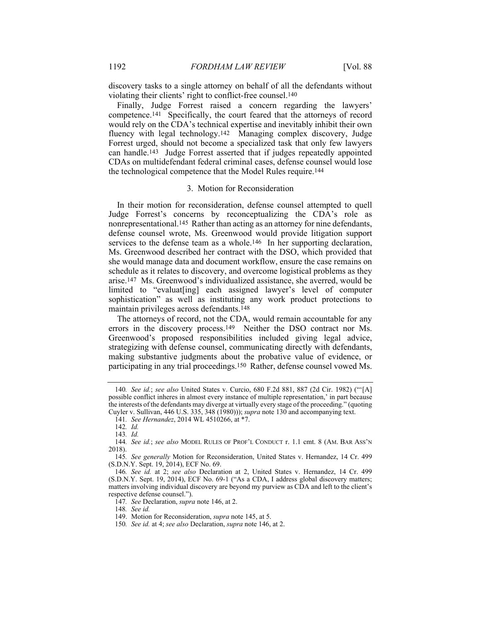discovery tasks to a single attorney on behalf of all the defendants without violating their clients' right to conflict-free counsel.140

Finally, Judge Forrest raised a concern regarding the lawyers' competence.141 Specifically, the court feared that the attorneys of record would rely on the CDA's technical expertise and inevitably inhibit their own fluency with legal technology.142 Managing complex discovery, Judge Forrest urged, should not become a specialized task that only few lawyers can handle.143 Judge Forrest asserted that if judges repeatedly appointed CDAs on multidefendant federal criminal cases, defense counsel would lose the technological competence that the Model Rules require.144

#### 3. Motion for Reconsideration

In their motion for reconsideration, defense counsel attempted to quell Judge Forrest's concerns by reconceptualizing the CDA's role as nonrepresentational.145 Rather than acting as an attorney for nine defendants, defense counsel wrote, Ms. Greenwood would provide litigation support services to the defense team as a whole.<sup>146</sup> In her supporting declaration, Ms. Greenwood described her contract with the DSO, which provided that she would manage data and document workflow, ensure the case remains on schedule as it relates to discovery, and overcome logistical problems as they arise.147 Ms. Greenwood's individualized assistance, she averred, would be limited to "evaluat[ing] each assigned lawyer's level of computer sophistication" as well as instituting any work product protections to maintain privileges across defendants.148

The attorneys of record, not the CDA, would remain accountable for any errors in the discovery process.149 Neither the DSO contract nor Ms. Greenwood's proposed responsibilities included giving legal advice, strategizing with defense counsel, communicating directly with defendants, making substantive judgments about the probative value of evidence, or participating in any trial proceedings.150 Rather, defense counsel vowed Ms.

<sup>140</sup>*. See id.*; *see also* United States v. Curcio, 680 F.2d 881, 887 (2d Cir. 1982) ("'[A] possible conflict inheres in almost every instance of multiple representation,' in part because the interests of the defendants may diverge at virtually every stage of the proceeding." (quoting Cuyler v. Sullivan, 446 U.S. 335, 348 (1980))); *supra* note 130 and accompanying text.

<sup>141</sup>*. See Hernandez*, 2014 WL 4510266, at \*7.

<sup>142</sup>*. Id.* 

<sup>143</sup>*. Id.*

<sup>144</sup>*. See id.*; *see also* MODEL RULES OF PROF'L CONDUCT r. 1.1 cmt. 8 (AM. BAR ASS'N 2018).

<sup>145</sup>*. See generally* Motion for Reconsideration, United States v. Hernandez, 14 Cr. 499 (S.D.N.Y. Sept. 19, 2014), ECF No. 69.

<sup>146</sup>*. See id.* at 2; *see also* Declaration at 2, United States v. Hernandez, 14 Cr. 499 (S.D.N.Y. Sept. 19, 2014), ECF No. 69-1 ("As a CDA, I address global discovery matters; matters involving individual discovery are beyond my purview as CDA and left to the client's respective defense counsel.").

<sup>147</sup>*. See* Declaration, *supra* note 146, at 2.

<sup>148</sup>*. See id.*

 <sup>149.</sup> Motion for Reconsideration, *supra* note 145, at 5.

<sup>150</sup>*. See id.* at 4; *see also* Declaration, *supra* note 146, at 2.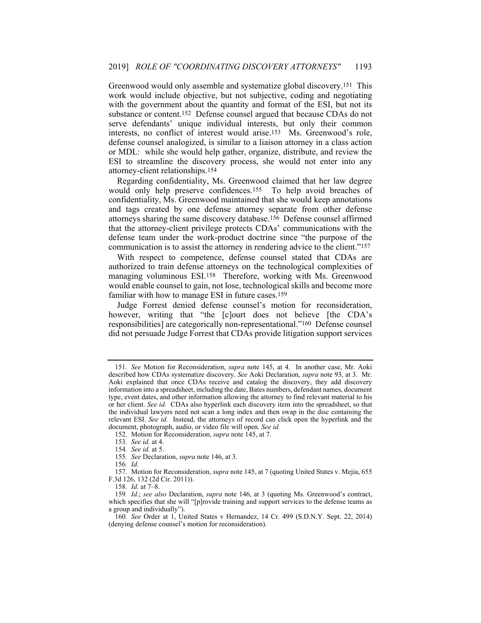Greenwood would only assemble and systematize global discovery.151 This work would include objective, but not subjective, coding and negotiating with the government about the quantity and format of the ESI, but not its substance or content.152 Defense counsel argued that because CDAs do not serve defendants' unique individual interests, but only their common interests, no conflict of interest would arise.153 Ms. Greenwood's role, defense counsel analogized, is similar to a liaison attorney in a class action or MDL: while she would help gather, organize, distribute, and review the ESI to streamline the discovery process, she would not enter into any attorney-client relationships.154

Regarding confidentiality, Ms. Greenwood claimed that her law degree would only help preserve confidences.155 To help avoid breaches of confidentiality, Ms. Greenwood maintained that she would keep annotations and tags created by one defense attorney separate from other defense attorneys sharing the same discovery database.156 Defense counsel affirmed that the attorney-client privilege protects CDAs' communications with the defense team under the work-product doctrine since "the purpose of the communication is to assist the attorney in rendering advice to the client."157

With respect to competence, defense counsel stated that CDAs are authorized to train defense attorneys on the technological complexities of managing voluminous ESI.158 Therefore, working with Ms. Greenwood would enable counsel to gain, not lose, technological skills and become more familiar with how to manage ESI in future cases.159

Judge Forrest denied defense counsel's motion for reconsideration, however, writing that "the [c]ourt does not believe [the CDA's responsibilities] are categorically non-representational."160 Defense counsel did not persuade Judge Forrest that CDAs provide litigation support services

<sup>151</sup>*. See* Motion for Reconsideration, *supra* note 145, at 4. In another case, Mr. Aoki described how CDAs systematize discovery. *See* Aoki Declaration, *supra* note 93, at 3. Mr. Aoki explained that once CDAs receive and catalog the discovery, they add discovery information into a spreadsheet, including the date, Bates numbers, defendant names, document type, event dates, and other information allowing the attorney to find relevant material to his or her client. *See id.* CDAs also hyperlink each discovery item into the spreadsheet, so that the individual lawyers need not scan a long index and then swap in the disc containing the relevant ESI. *See id.* Instead, the attorneys of record can click open the hyperlink and the document, photograph, audio, or video file will open. *See id.*

 <sup>152.</sup> Motion for Reconsideration, *supra* note 145, at 7.

<sup>153</sup>*. See id.* at 4.

<sup>154</sup>*. See id.* at 5.

<sup>155</sup>*. See* Declaration, *supra* note 146, at 3.

<sup>156</sup>*. Id.*

 <sup>157.</sup> Motion for Reconsideration, *supra* note 145, at 7 (quoting United States v. Mejia, 655 F.3d 126, 132 (2d Cir. 2011)).

<sup>158</sup>*. Id.* at 7–8.

<sup>159</sup>*. Id.*; *see also* Declaration, *supra* note 146, at 3 (quoting Ms. Greenwood's contract, which specifies that she will "[p]rovide training and support services to the defense teams as a group and individually").

<sup>160</sup>*. See* Order at 1, United States v Hernandez, 14 Cr. 499 (S.D.N.Y. Sept. 22, 2014) (denying defense counsel's motion for reconsideration).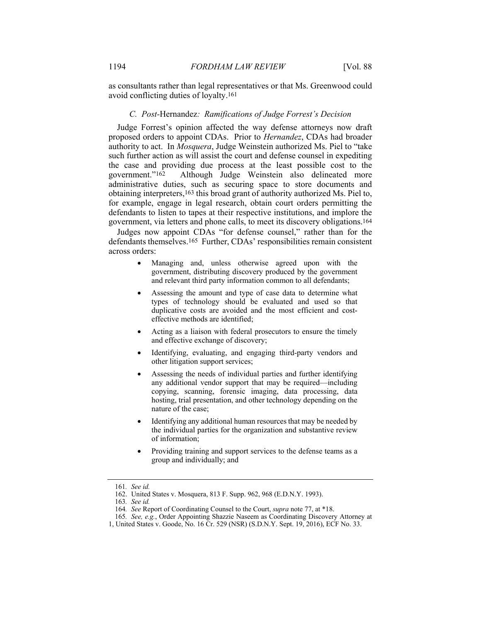as consultants rather than legal representatives or that Ms. Greenwood could avoid conflicting duties of loyalty.161

#### *C. Post-*Hernandez*: Ramifications of Judge Forrest's Decision*

Judge Forrest's opinion affected the way defense attorneys now draft proposed orders to appoint CDAs. Prior to *Hernandez*, CDAs had broader authority to act. In *Mosquera*, Judge Weinstein authorized Ms. Piel to "take such further action as will assist the court and defense counsel in expediting the case and providing due process at the least possible cost to the government."162 Although Judge Weinstein also delineated more administrative duties, such as securing space to store documents and obtaining interpreters,163 this broad grant of authority authorized Ms. Piel to, for example, engage in legal research, obtain court orders permitting the defendants to listen to tapes at their respective institutions, and implore the government, via letters and phone calls, to meet its discovery obligations.164

Judges now appoint CDAs "for defense counsel," rather than for the defendants themselves.165 Further, CDAs' responsibilities remain consistent across orders:

- Managing and, unless otherwise agreed upon with the government, distributing discovery produced by the government and relevant third party information common to all defendants;
- Assessing the amount and type of case data to determine what types of technology should be evaluated and used so that duplicative costs are avoided and the most efficient and costeffective methods are identified;
- Acting as a liaison with federal prosecutors to ensure the timely and effective exchange of discovery;
- Identifying, evaluating, and engaging third-party vendors and other litigation support services;
- Assessing the needs of individual parties and further identifying any additional vendor support that may be required—including copying, scanning, forensic imaging, data processing, data hosting, trial presentation, and other technology depending on the nature of the case;
- Identifying any additional human resources that may be needed by the individual parties for the organization and substantive review of information;
- Providing training and support services to the defense teams as a group and individually; and

<sup>161</sup>*. See id.*

 <sup>162.</sup> United States v. Mosquera, 813 F. Supp. 962, 968 (E.D.N.Y. 1993).

<sup>163</sup>*. See id.* 

<sup>164</sup>*. See* Report of Coordinating Counsel to the Court, *supra* note 77, at \*18.

<sup>165</sup>*. See, e.g.*, Order Appointing Shazzie Naseem as Coordinating Discovery Attorney at

<sup>1,</sup> United States v. Goode, No. 16 Cr. 529 (NSR) (S.D.N.Y. Sept. 19, 2016), ECF No. 33.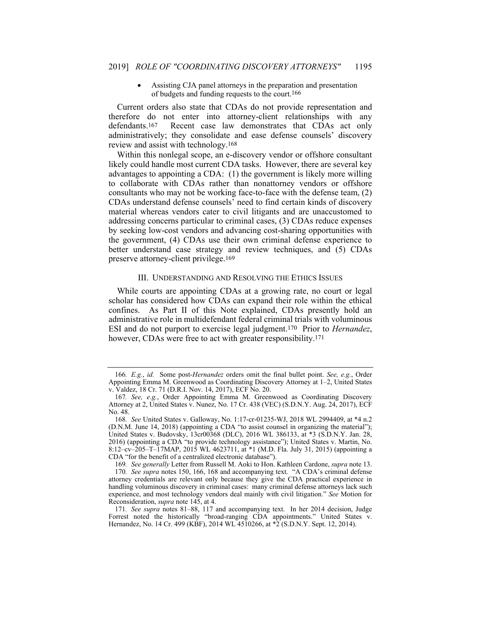Assisting CJA panel attorneys in the preparation and presentation of budgets and funding requests to the court.166

Current orders also state that CDAs do not provide representation and therefore do not enter into attorney-client relationships with any defendants.167 Recent case law demonstrates that CDAs act only administratively; they consolidate and ease defense counsels' discovery review and assist with technology.168

Within this nonlegal scope, an e-discovery vendor or offshore consultant likely could handle most current CDA tasks. However, there are several key advantages to appointing a CDA: (1) the government is likely more willing to collaborate with CDAs rather than nonattorney vendors or offshore consultants who may not be working face-to-face with the defense team, (2) CDAs understand defense counsels' need to find certain kinds of discovery material whereas vendors cater to civil litigants and are unaccustomed to addressing concerns particular to criminal cases, (3) CDAs reduce expenses by seeking low-cost vendors and advancing cost-sharing opportunities with the government, (4) CDAs use their own criminal defense experience to better understand case strategy and review techniques, and (5) CDAs preserve attorney-client privilege.169

#### III. UNDERSTANDING AND RESOLVING THE ETHICS ISSUES

While courts are appointing CDAs at a growing rate, no court or legal scholar has considered how CDAs can expand their role within the ethical confines. As Part II of this Note explained, CDAs presently hold an administrative role in multidefendant federal criminal trials with voluminous ESI and do not purport to exercise legal judgment.170 Prior to *Hernandez*, however, CDAs were free to act with greater responsibility.<sup>171</sup>

169*. See generally* Letter from Russell M. Aoki to Hon. Kathleen Cardone, *supra* note 13.

<sup>166</sup>*. E.g.*, *id.* Some post-*Hernandez* orders omit the final bullet point. *See, e.g.*, Order Appointing Emma M. Greenwood as Coordinating Discovery Attorney at 1–2, United States v. Valdez, 18 Cr. 71 (D.R.I. Nov. 14, 2017), ECF No. 20.

<sup>167</sup>*. See, e.g.*, Order Appointing Emma M. Greenwood as Coordinating Discovery Attorney at 2, United States v. Nunez, No. 17 Cr. 438 (VEC) (S.D.N.Y. Aug. 24, 2017), ECF No. 48.

<sup>168</sup>*. See* United States v. Galloway, No. 1:17-cr-01235-WJ, 2018 WL 2994409, at \*4 n.2 (D.N.M. June 14, 2018) (appointing a CDA "to assist counsel in organizing the material"); United States v. Budovsky, 13cr00368 (DLC), 2016 WL 386133, at \*3 (S.D.N.Y. Jan. 28, 2016) (appointing a CDA "to provide technology assistance"); United States v. Martin, No. 8:12–cv–205–T–17MAP, 2015 WL 4623711, at \*1 (M.D. Fla. July 31, 2015) (appointing a CDA "for the benefit of a centralized electronic database").

<sup>170</sup>*. See supra* notes 150, 166, 168 and accompanying text. "A CDA's criminal defense attorney credentials are relevant only because they give the CDA practical experience in handling voluminous discovery in criminal cases: many criminal defense attorneys lack such experience, and most technology vendors deal mainly with civil litigation." *See* Motion for Reconsideration, *supra* note 145, at 4.

<sup>171</sup>*. See supra* notes 81–88, 117 and accompanying text. In her 2014 decision, Judge Forrest noted the historically "broad-ranging CDA appointments." United States v. Hernandez, No. 14 Cr. 499 (KBF), 2014 WL 4510266, at  $\sqrt[*]{2}$  (S.D.N.Y. Sept. 12, 2014).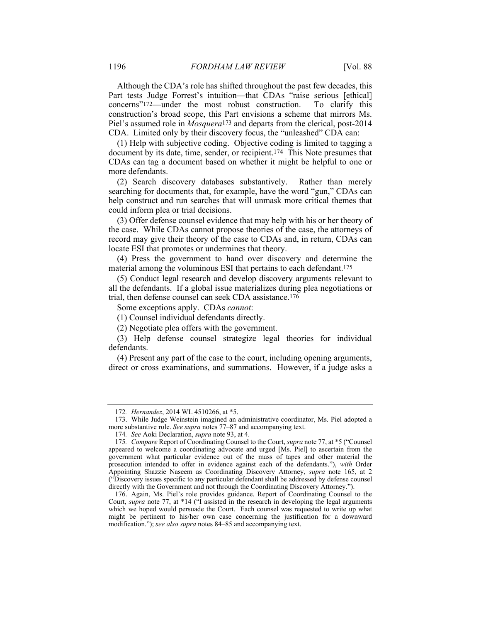Although the CDA's role has shifted throughout the past few decades, this Part tests Judge Forrest's intuition—that CDAs "raise serious [ethical] concerns"172—under the most robust construction. To clarify this construction's broad scope, this Part envisions a scheme that mirrors Ms. Piel's assumed role in *Mosquera*173 and departs from the clerical, post-2014 CDA. Limited only by their discovery focus, the "unleashed" CDA can:

(1) Help with subjective coding. Objective coding is limited to tagging a document by its date, time, sender, or recipient.174 This Note presumes that CDAs can tag a document based on whether it might be helpful to one or more defendants.

(2) Search discovery databases substantively. Rather than merely searching for documents that, for example, have the word "gun," CDAs can help construct and run searches that will unmask more critical themes that could inform plea or trial decisions.

(3) Offer defense counsel evidence that may help with his or her theory of the case. While CDAs cannot propose theories of the case, the attorneys of record may give their theory of the case to CDAs and, in return, CDAs can locate ESI that promotes or undermines that theory.

(4) Press the government to hand over discovery and determine the material among the voluminous ESI that pertains to each defendant.175

(5) Conduct legal research and develop discovery arguments relevant to all the defendants. If a global issue materializes during plea negotiations or trial, then defense counsel can seek CDA assistance.176

Some exceptions apply. CDAs *cannot*:

(1) Counsel individual defendants directly.

(2) Negotiate plea offers with the government.

(3) Help defense counsel strategize legal theories for individual defendants.

(4) Present any part of the case to the court, including opening arguments, direct or cross examinations, and summations. However, if a judge asks a

<sup>172</sup>*. Hernandez*, 2014 WL 4510266, at \*5.

 <sup>173.</sup> While Judge Weinstein imagined an administrative coordinator, Ms. Piel adopted a more substantive role. *See supra* notes 77–87 and accompanying text.

<sup>174</sup>*. See* Aoki Declaration, *supra* note 93, at 4.

<sup>175</sup>*. Compare* Report of Coordinating Counsel to the Court, *supra* note 77, at \*5 ("Counsel appeared to welcome a coordinating advocate and urged [Ms. Piel] to ascertain from the government what particular evidence out of the mass of tapes and other material the prosecution intended to offer in evidence against each of the defendants."), *with* Order Appointing Shazzie Naseem as Coordinating Discovery Attorney, *supra* note 165, at 2 ("Discovery issues specific to any particular defendant shall be addressed by defense counsel directly with the Government and not through the Coordinating Discovery Attorney.").

 <sup>176.</sup> Again, Ms. Piel's role provides guidance. Report of Coordinating Counsel to the Court, *supra* note 77, at \*14 ("I assisted in the research in developing the legal arguments which we hoped would persuade the Court. Each counsel was requested to write up what might be pertinent to his/her own case concerning the justification for a downward modification."); *see also supra* notes 84–85 and accompanying text.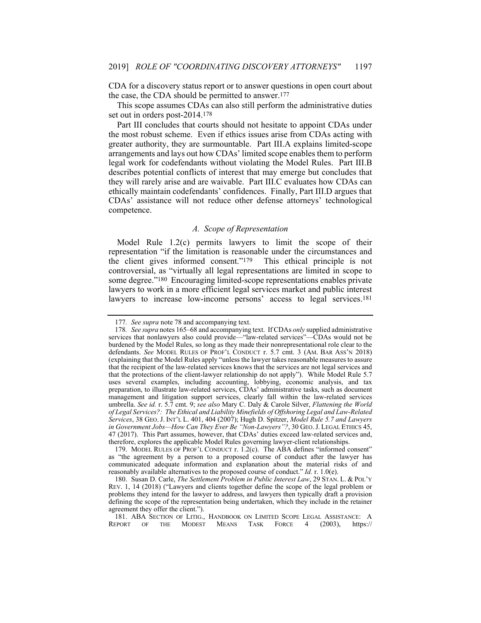CDA for a discovery status report or to answer questions in open court about the case, the CDA should be permitted to answer.177

This scope assumes CDAs can also still perform the administrative duties set out in orders post-2014.178

Part III concludes that courts should not hesitate to appoint CDAs under the most robust scheme. Even if ethics issues arise from CDAs acting with greater authority, they are surmountable. Part III.A explains limited-scope arrangements and lays out how CDAs' limited scope enables them to perform legal work for codefendants without violating the Model Rules. Part III.B describes potential conflicts of interest that may emerge but concludes that they will rarely arise and are waivable. Part III.C evaluates how CDAs can ethically maintain codefendants' confidences. Finally, Part III.D argues that CDAs' assistance will not reduce other defense attorneys' technological competence.

# *A. Scope of Representation*

Model Rule 1.2(c) permits lawyers to limit the scope of their representation "if the limitation is reasonable under the circumstances and the client gives informed consent."179 This ethical principle is not controversial, as "virtually all legal representations are limited in scope to some degree."180 Encouraging limited-scope representations enables private lawyers to work in a more efficient legal services market and public interest lawyers to increase low-income persons' access to legal services.181

<sup>177</sup>*. See supra* note 78 and accompanying text.

<sup>178</sup>*. See supra* notes 165–68 and accompanying text. If CDAs *only* supplied administrative services that nonlawyers also could provide—"law-related services"—CDAs would not be burdened by the Model Rules, so long as they made their nonrepresentational role clear to the defendants. *See* MODEL RULES OF PROF'L CONDUCT r. 5.7 cmt. 3 (AM. BAR ASS'N 2018) (explaining that the Model Rules apply "unless the lawyer takes reasonable measures to assure that the recipient of the law-related services knows that the services are not legal services and that the protections of the client-lawyer relationship do not apply"). While Model Rule 5.7 uses several examples, including accounting, lobbying, economic analysis, and tax preparation, to illustrate law-related services, CDAs' administrative tasks, such as document management and litigation support services, clearly fall within the law-related services umbrella. *See id.* r. 5.7 cmt. 9; *see also* Mary C. Daly & Carole Silver, *Flattening the World of Legal Services?: The Ethical and Liability Minefields of Offshoring Legal and Law-Related Services*, 38 GEO. J. INT'L L. 401, 404 (2007); Hugh D. Spitzer, *Model Rule 5.7 and Lawyers in Government Jobs—How Can They Ever Be "Non-Lawyers"?*, 30 GEO.J. LEGAL ETHICS 45, 47 (2017). This Part assumes, however, that CDAs' duties exceed law-related services and, therefore, explores the applicable Model Rules governing lawyer-client relationships.

 <sup>179.</sup> MODEL RULES OF PROF'L CONDUCT r. 1.2(c). The ABA defines "informed consent" as "the agreement by a person to a proposed course of conduct after the lawyer has communicated adequate information and explanation about the material risks of and reasonably available alternatives to the proposed course of conduct." *Id.* r. 1.0(e).

 <sup>180.</sup> Susan D. Carle, *The Settlement Problem in Public Interest Law*, 29 STAN. L. & POL'Y REV. 1, 14 (2018) ("Lawyers and clients together define the scope of the legal problem or problems they intend for the lawyer to address, and lawyers then typically draft a provision defining the scope of the representation being undertaken, which they include in the retainer agreement they offer the client.").

<sup>181.</sup> ABA SECTION OF LITIG., HANDBOOK ON LIMITED SCOPE LEGAL ASSISTANCE: A EPORT OF THE MODEST MEANS TASK FORCE 4 (2003), https:// REPORT OF THE MODEST MEANS TASK FORCE 4 (2003), https://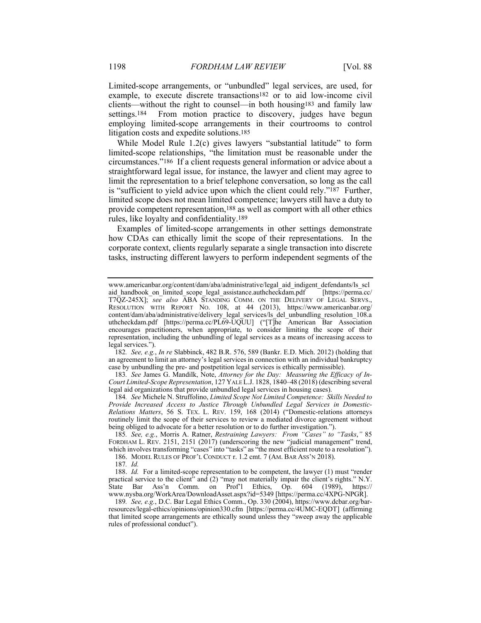Limited-scope arrangements, or "unbundled" legal services, are used, for example, to execute discrete transactions182 or to aid low-income civil clients—without the right to counsel—in both housing183 and family law settings.<sup>184</sup> From motion practice to discovery, judges have begun employing limited-scope arrangements in their courtrooms to control litigation costs and expedite solutions.185

While Model Rule 1.2(c) gives lawyers "substantial latitude" to form limited-scope relationships, "the limitation must be reasonable under the circumstances."186 If a client requests general information or advice about a straightforward legal issue, for instance, the lawyer and client may agree to limit the representation to a brief telephone conversation, so long as the call is "sufficient to yield advice upon which the client could rely."187 Further, limited scope does not mean limited competence; lawyers still have a duty to provide competent representation,188 as well as comport with all other ethics rules, like loyalty and confidentiality.189

Examples of limited-scope arrangements in other settings demonstrate how CDAs can ethically limit the scope of their representations. In the corporate context, clients regularly separate a single transaction into discrete tasks, instructing different lawyers to perform independent segments of the

182*. See, e.g.*, *In re* Slabbinck, 482 B.R. 576, 589 (Bankr. E.D. Mich. 2012) (holding that an agreement to limit an attorney's legal services in connection with an individual bankruptcy case by unbundling the pre- and postpetition legal services is ethically permissible).

183*. See* James G. Mandilk, Note, *Attorney for the Day: Measuring the Efficacy of In-Court Limited-Scope Representation*, 127 YALE L.J. 1828, 1840–48 (2018) (describing several legal aid organizations that provide unbundled legal services in housing cases).

184*. See* Michele N. Struffolino, *Limited Scope Not Limited Competence: Skills Needed to Provide Increased Access to Justice Through Unbundled Legal Services in Domestic-Relations Matters*, 56 S. TEX. L. REV. 159, 168 (2014) ("Domestic-relations attorneys routinely limit the scope of their services to review a mediated divorce agreement without being obliged to advocate for a better resolution or to do further investigation.").

185*. See, e.g.*, Morris A. Ratner, *Restraining Lawyers: From "Cases" to "Tasks*,*"* 85 FORDHAM L. REV. 2151, 2151 (2017) (underscoring the new "judicial management" trend, which involves transforming "cases" into "tasks" as "the most efficient route to a resolution"). 186. MODEL RULES OF PROF'L CONDUCT r. 1.2 cmt. 7 (AM. BAR ASS'N 2018).

187*. Id.*

188. *Id.* For a limited-scope representation to be competent, the lawyer (1) must "render practical service to the client" and (2) "may not materially impair the client's rights." N.Y.<br>State Bar Ass'n Comm. on Prof'l Ethics, Op. 604 (1989), https:// State Bar Ass'n Comm. on Prof'l Ethics, Op. 604 (1989), https:// www.nysba.org/WorkArea/DownloadAsset.aspx?id=5349 [https://perma.cc/4XPG-NPGR].

189*. See, e.g.*, D.C. Bar Legal Ethics Comm., Op. 330 (2004), https://www.dcbar.org/barresources/legal-ethics/opinions/opinion330.cfm [https://perma.cc/4UMC-EQDT] (affirming that limited scope arrangements are ethically sound unless they "sweep away the applicable rules of professional conduct").

www.americanbar.org/content/dam/aba/administrative/legal\_aid\_indigent\_defendants/ls\_scl aid\_handbook\_on\_limited\_scope\_legal\_assistance.authcheckdam.pdf [https://perma.cc/ T7QZ-245X]; *see also* ABA STANDING COMM. ON THE DELIVERY OF LEGAL SERVS., RESOLUTION WITH REPORT NO. 108, at 44 (2013), https://www.americanbar.org/ content/dam/aba/administrative/delivery\_legal\_services/ls\_del\_unbundling\_resolution\_108.a uthcheckdam.pdf [https://perma.cc/PL69-UQUU] ("[T]he American Bar Association encourages practitioners, when appropriate, to consider limiting the scope of their representation, including the unbundling of legal services as a means of increasing access to legal services.").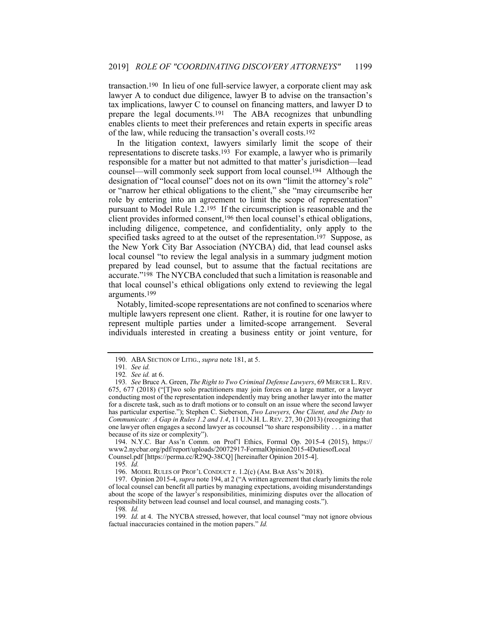transaction.190 In lieu of one full-service lawyer, a corporate client may ask lawyer A to conduct due diligence, lawyer B to advise on the transaction's tax implications, lawyer C to counsel on financing matters, and lawyer D to prepare the legal documents.191 The ABA recognizes that unbundling enables clients to meet their preferences and retain experts in specific areas of the law, while reducing the transaction's overall costs.192

In the litigation context, lawyers similarly limit the scope of their representations to discrete tasks.193 For example, a lawyer who is primarily responsible for a matter but not admitted to that matter's jurisdiction—lead counsel—will commonly seek support from local counsel.194 Although the designation of "local counsel" does not on its own "limit the attorney's role" or "narrow her ethical obligations to the client," she "may circumscribe her role by entering into an agreement to limit the scope of representation" pursuant to Model Rule 1.2.195 If the circumscription is reasonable and the client provides informed consent,196 then local counsel's ethical obligations, including diligence, competence, and confidentiality, only apply to the specified tasks agreed to at the outset of the representation.<sup>197</sup> Suppose, as the New York City Bar Association (NYCBA) did, that lead counsel asks local counsel "to review the legal analysis in a summary judgment motion prepared by lead counsel, but to assume that the factual recitations are accurate."198 The NYCBA concluded that such a limitation is reasonable and that local counsel's ethical obligations only extend to reviewing the legal arguments.199

Notably, limited-scope representations are not confined to scenarios where multiple lawyers represent one client. Rather, it is routine for one lawyer to represent multiple parties under a limited-scope arrangement. Several individuals interested in creating a business entity or joint venture, for

Counsel.pdf [https://perma.cc/R29Q-38CQ] [hereinafter Opinion 2015-4].

 <sup>190.</sup> ABA SECTION OF LITIG., *supra* note 181, at 5.

<sup>191</sup>*. See id.*

<sup>192</sup>*. See id.* at 6.

<sup>193</sup>*. See* Bruce A. Green, *The Right to Two Criminal Defense Lawyers*, 69 MERCER L.REV. 675, 677 (2018) ("[T]wo solo practitioners may join forces on a large matter, or a lawyer conducting most of the representation independently may bring another lawyer into the matter for a discrete task, such as to draft motions or to consult on an issue where the second lawyer has particular expertise."); Stephen C. Sieberson, *Two Lawyers, One Client, and the Duty to Communicate: A Gap in Rules 1.2 and 1.4*, 11 U.N.H. L. REV. 27, 30 (2013) (recognizing that one lawyer often engages a second lawyer as cocounsel "to share responsibility . . . in a matter because of its size or complexity").

 <sup>194.</sup> N.Y.C. Bar Ass'n Comm. on Prof'l Ethics, Formal Op. 2015-4 (2015), https:// www2.nycbar.org/pdf/report/uploads/20072917-FormalOpinion2015-4DutiesofLocal

<sup>195</sup>*. Id.*

 <sup>196.</sup> MODEL RULES OF PROF'L CONDUCT r. 1.2(c) (AM. BAR ASS'N 2018).

 <sup>197.</sup> Opinion 2015-4, *supra* note 194, at 2 ("A written agreement that clearly limits the role of local counsel can benefit all parties by managing expectations, avoiding misunderstandings about the scope of the lawyer's responsibilities, minimizing disputes over the allocation of responsibility between lead counsel and local counsel, and managing costs.").

<sup>198</sup>*. Id.*

<sup>199</sup>*. Id.* at 4. The NYCBA stressed, however, that local counsel "may not ignore obvious factual inaccuracies contained in the motion papers." *Id.*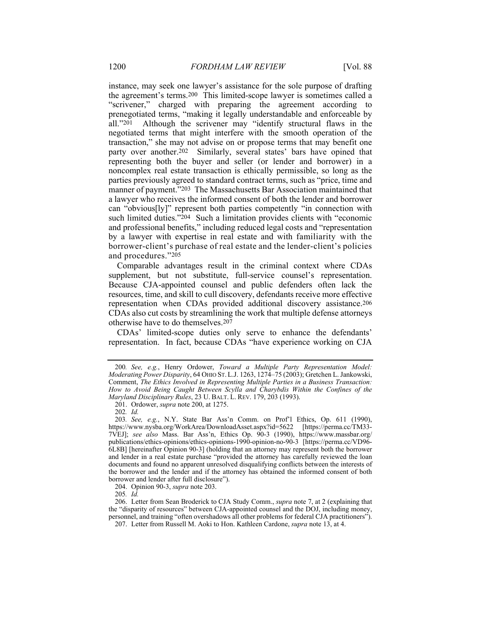instance, may seek one lawyer's assistance for the sole purpose of drafting the agreement's terms.200 This limited-scope lawyer is sometimes called a "scrivener," charged with preparing the agreement according to prenegotiated terms, "making it legally understandable and enforceable by all."201 Although the scrivener may "identify structural flaws in the negotiated terms that might interfere with the smooth operation of the transaction," she may not advise on or propose terms that may benefit one party over another.202 Similarly, several states' bars have opined that representing both the buyer and seller (or lender and borrower) in a noncomplex real estate transaction is ethically permissible, so long as the parties previously agreed to standard contract terms, such as "price, time and manner of payment."203 The Massachusetts Bar Association maintained that a lawyer who receives the informed consent of both the lender and borrower can "obvious[ly]" represent both parties competently "in connection with such limited duties."204 Such a limitation provides clients with "economic and professional benefits," including reduced legal costs and "representation by a lawyer with expertise in real estate and with familiarity with the borrower-client's purchase of real estate and the lender-client's policies and procedures."205

Comparable advantages result in the criminal context where CDAs supplement, but not substitute, full-service counsel's representation. Because CJA-appointed counsel and public defenders often lack the resources, time, and skill to cull discovery, defendants receive more effective representation when CDAs provided additional discovery assistance.206 CDAs also cut costs by streamlining the work that multiple defense attorneys otherwise have to do themselves.207

CDAs' limited-scope duties only serve to enhance the defendants' representation. In fact, because CDAs "have experience working on CJA

201. Ordower, *supra* note 200, at 1275.

202*. Id.*

204. Opinion 90-3, *supra* note 203.

205*. Id.*

 206. Letter from Sean Broderick to CJA Study Comm., *supra* note 7, at 2 (explaining that the "disparity of resources" between CJA-appointed counsel and the DOJ, including money, personnel, and training "often overshadows all other problems for federal CJA practitioners").

207. Letter from Russell M. Aoki to Hon. Kathleen Cardone, *supra* note 13, at 4.

<sup>200</sup>*. See, e.g.*, Henry Ordower, *Toward a Multiple Party Representation Model: Moderating Power Disparity*, 64 OHIO ST. L.J. 1263, 1274–75 (2003); Gretchen L. Jankowski, Comment, *The Ethics Involved in Representing Multiple Parties in a Business Transaction: How to Avoid Being Caught Between Scylla and Charybdis Within the Confines of the Maryland Disciplinary Rules*, 23 U. BALT. L. REV. 179, 203 (1993).

<sup>203</sup>*. See, e.g.*, N.Y. State Bar Ass'n Comm. on Prof'l Ethics, Op. 611 (1990), https://www.nysba.org/WorkArea/DownloadAsset.aspx?id=5622 [https://perma.cc/TM33-7VEJ]; *see also* Mass. Bar Ass'n, Ethics Op. 90-3 (1990), https://www.massbar.org/ publications/ethics-opinions/ethics-opinions-1990-opinion-no-90-3 [https://perma.cc/VD96- 6L8B] [hereinafter Opinion 90-3] (holding that an attorney may represent both the borrower and lender in a real estate purchase "provided the attorney has carefully reviewed the loan documents and found no apparent unresolved disqualifying conflicts between the interests of the borrower and the lender and if the attorney has obtained the informed consent of both borrower and lender after full disclosure").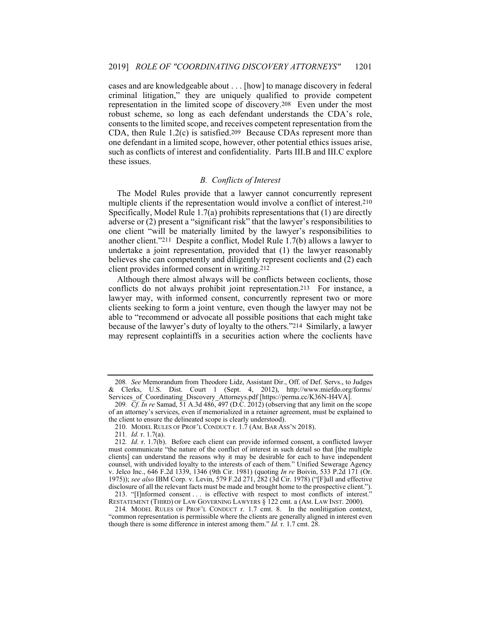cases and are knowledgeable about . . . [how] to manage discovery in federal criminal litigation," they are uniquely qualified to provide competent representation in the limited scope of discovery.208 Even under the most robust scheme, so long as each defendant understands the CDA's role, consents to the limited scope, and receives competent representation from the CDA, then Rule 1.2(c) is satisfied.209 Because CDAs represent more than one defendant in a limited scope, however, other potential ethics issues arise, such as conflicts of interest and confidentiality. Parts III.B and III.C explore these issues.

# *B. Conflicts of Interest*

The Model Rules provide that a lawyer cannot concurrently represent multiple clients if the representation would involve a conflict of interest.210 Specifically, Model Rule 1.7(a) prohibits representations that (1) are directly adverse or (2) present a "significant risk" that the lawyer's responsibilities to one client "will be materially limited by the lawyer's responsibilities to another client."211 Despite a conflict, Model Rule 1.7(b) allows a lawyer to undertake a joint representation, provided that (1) the lawyer reasonably believes she can competently and diligently represent coclients and (2) each client provides informed consent in writing.212

Although there almost always will be conflicts between coclients, those conflicts do not always prohibit joint representation.213 For instance, a lawyer may, with informed consent, concurrently represent two or more clients seeking to form a joint venture, even though the lawyer may not be able to "recommend or advocate all possible positions that each might take because of the lawyer's duty of loyalty to the others."214 Similarly, a lawyer may represent coplaintiffs in a securities action where the coclients have

<sup>208</sup>*. See* Memorandum from Theodore Lidz, Assistant Dir., Off. of Def. Servs., to Judges & Clerks, U.S. Dist. Court 1 (Sept. 4, 2012), http://www.miefdo.org/forms/ Services\_of\_Coordinating\_Discovery\_Attorneys.pdf [https://perma.cc/K36N-H4VA].

<sup>209</sup>*. Cf. In re* Samad, 51 A.3d 486, 497 (D.C. 2012) (observing that any limit on the scope of an attorney's services, even if memorialized in a retainer agreement, must be explained to the client to ensure the delineated scope is clearly understood).

 <sup>210.</sup> MODEL RULES OF PROF'L CONDUCT r. 1.7 (AM. BAR ASS'N 2018).

<sup>211</sup>*. Id.* r. 1.7(a).

<sup>212</sup>*. Id.* r. 1.7(b). Before each client can provide informed consent, a conflicted lawyer must communicate "the nature of the conflict of interest in such detail so that [the multiple clients] can understand the reasons why it may be desirable for each to have independent counsel, with undivided loyalty to the interests of each of them." Unified Sewerage Agency v. Jelco Inc., 646 F.2d 1339, 1346 (9th Cir. 1981) (quoting *In re* Boivin, 533 P.2d 171 (Or. 1975)); *see also* IBM Corp. v. Levin, 579 F.2d 271, 282 (3d Cir. 1978) ("[F]ull and effective disclosure of all the relevant facts must be made and brought home to the prospective client.").

 <sup>213. &</sup>quot;[I]nformed consent . . . is effective with respect to most conflicts of interest." RESTATEMENT (THIRD) OF LAW GOVERNING LAWYERS § 122 cmt. a (AM. LAW INST. 2000).

<sup>214</sup>*.* MODEL RULES OF PROF'L CONDUCT r. 1.7 cmt. 8. In the nonlitigation context, "common representation is permissible where the clients are generally aligned in interest even though there is some difference in interest among them." *Id.* r. 1.7 cmt. 28.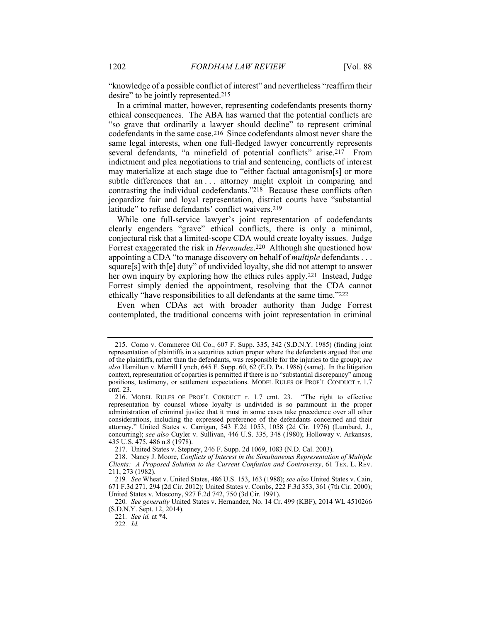"knowledge of a possible conflict of interest" and nevertheless "reaffirm their desire" to be jointly represented.<sup>215</sup>

In a criminal matter, however, representing codefendants presents thorny ethical consequences. The ABA has warned that the potential conflicts are "so grave that ordinarily a lawyer should decline" to represent criminal codefendants in the same case.216 Since codefendants almost never share the same legal interests, when one full-fledged lawyer concurrently represents several defendants, "a minefield of potential conflicts" arise.<sup>217</sup> From indictment and plea negotiations to trial and sentencing, conflicts of interest may materialize at each stage due to "either factual antagonism[s] or more subtle differences that an ... attorney might exploit in comparing and contrasting the individual codefendants."<sup>218</sup> Because these conflicts often jeopardize fair and loyal representation, district courts have "substantial latitude" to refuse defendants' conflict waivers.<sup>219</sup>

While one full-service lawyer's joint representation of codefendants clearly engenders "grave" ethical conflicts, there is only a minimal, conjectural risk that a limited-scope CDA would create loyalty issues. Judge Forrest exaggerated the risk in *Hernandez*.220 Although she questioned how appointing a CDA "to manage discovery on behalf of *multiple* defendants . . . square[s] with th[e] duty" of undivided loyalty, she did not attempt to answer her own inquiry by exploring how the ethics rules apply.<sup>221</sup> Instead, Judge Forrest simply denied the appointment, resolving that the CDA cannot ethically "have responsibilities to all defendants at the same time."222

Even when CDAs act with broader authority than Judge Forrest contemplated, the traditional concerns with joint representation in criminal

222*. Id.*

 <sup>215.</sup> Como v. Commerce Oil Co., 607 F. Supp. 335, 342 (S.D.N.Y. 1985) (finding joint representation of plaintiffs in a securities action proper where the defendants argued that one of the plaintiffs, rather than the defendants, was responsible for the injuries to the group); *see also* Hamilton v. Merrill Lynch, 645 F. Supp. 60, 62 (E.D. Pa. 1986) (same). In the litigation context, representation of coparties is permitted if there is no "substantial discrepancy" among positions, testimony, or settlement expectations. MODEL RULES OF PROF'L CONDUCT r. 1.7 cmt. 23.

 <sup>216.</sup> MODEL RULES OF PROF'L CONDUCT r. 1.7 cmt. 23. "The right to effective representation by counsel whose loyalty is undivided is so paramount in the proper administration of criminal justice that it must in some cases take precedence over all other considerations, including the expressed preference of the defendants concerned and their attorney." United States v. Carrigan, 543 F.2d 1053, 1058 (2d Cir. 1976) (Lumbard, J., concurring); *see also* Cuyler v. Sullivan, 446 U.S. 335, 348 (1980); Holloway v. Arkansas, 435 U.S. 475, 486 n.8 (1978).

 <sup>217.</sup> United States v. Stepney, 246 F. Supp. 2d 1069, 1083 (N.D. Cal. 2003).

 <sup>218.</sup> Nancy J. Moore, *Conflicts of Interest in the Simultaneous Representation of Multiple Clients: A Proposed Solution to the Current Confusion and Controversy*, 61 TEX. L. REV. 211, 273 (1982).

<sup>219</sup>*. See* Wheat v. United States, 486 U.S. 153, 163 (1988); *see also* United States v. Cain, 671 F.3d 271, 294 (2d Cir. 2012); United States v. Combs, 222 F.3d 353, 361 (7th Cir. 2000); United States v. Moscony, 927 F.2d 742, 750 (3d Cir. 1991).

<sup>220</sup>*. See generally* United States v. Hernandez, No. 14 Cr. 499 (KBF), 2014 WL 4510266 (S.D.N.Y. Sept. 12, 2014).

<sup>221</sup>*. See id.* at \*4.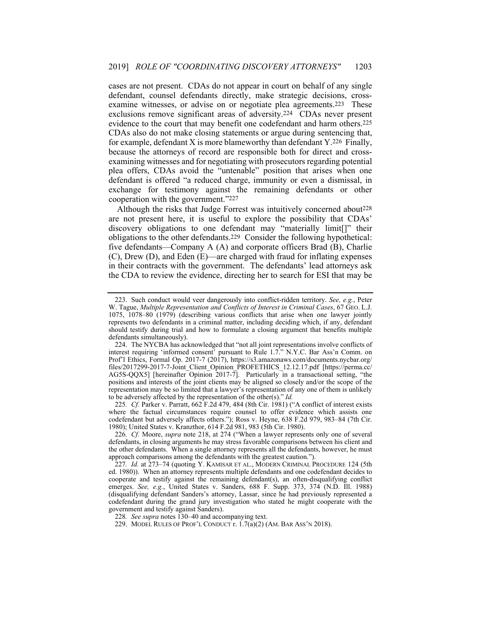cases are not present. CDAs do not appear in court on behalf of any single defendant, counsel defendants directly, make strategic decisions, crossexamine witnesses, or advise on or negotiate plea agreements.223 These exclusions remove significant areas of adversity.224 CDAs never present evidence to the court that may benefit one codefendant and harm others.225 CDAs also do not make closing statements or argue during sentencing that, for example, defendant X is more blameworthy than defendant Y.226 Finally, because the attorneys of record are responsible both for direct and crossexamining witnesses and for negotiating with prosecutors regarding potential plea offers, CDAs avoid the "untenable" position that arises when one defendant is offered "a reduced charge, immunity or even a dismissal, in exchange for testimony against the remaining defendants or other cooperation with the government."227

Although the risks that Judge Forrest was intuitively concerned about228 are not present here, it is useful to explore the possibility that CDAs' discovery obligations to one defendant may "materially limit[]" their obligations to the other defendants.229 Consider the following hypothetical: five defendants—Company A (A) and corporate officers Brad (B), Charlie (C), Drew (D), and Eden (E)—are charged with fraud for inflating expenses in their contracts with the government. The defendants' lead attorneys ask the CDA to review the evidence, directing her to search for ESI that may be

225*. Cf.* Parker v. Parratt, 662 F.2d 479, 484 (8th Cir. 1981) ("A conflict of interest exists where the factual circumstances require counsel to offer evidence which assists one codefendant but adversely affects others."); Ross v. Heyne, 638 F.2d 979, 983–84 (7th Cir. 1980); United States v. Kranzthor, 614 F.2d 981, 983 (5th Cir. 1980).

 <sup>223.</sup> Such conduct would veer dangerously into conflict-ridden territory. *See, e.g.*, Peter W. Tague, *Multiple Representation and Conflicts of Interest in Criminal Cases*, 67 GEO. L.J. 1075, 1078–80 (1979) (describing various conflicts that arise when one lawyer jointly represents two defendants in a criminal matter, including deciding which, if any, defendant should testify during trial and how to formulate a closing argument that benefits multiple defendants simultaneously).

 <sup>224.</sup> The NYCBA has acknowledged that "not all joint representations involve conflicts of interest requiring 'informed consent' pursuant to Rule 1.7." N.Y.C. Bar Ass'n Comm. on Prof'l Ethics, Formal Op. 2017-7 (2017), https://s3.amazonaws.com/documents.nycbar.org/ files/2017299-2017-7-Joint\_Client\_Opinion\_PROFETHICS\_12.12.17.pdf [https://perma.cc/ AG5S-QQX5] [hereinafter Opinion 2017-7]. Particularly in a transactional setting, "the positions and interests of the joint clients may be aligned so closely and/or the scope of the representation may be so limited that a lawyer's representation of any one of them is unlikely to be adversely affected by the representation of the other(s)." *Id.*

<sup>226</sup>*. Cf.* Moore, *supra* note 218, at 274 ("When a lawyer represents only one of several defendants, in closing arguments he may stress favorable comparisons between his client and the other defendants. When a single attorney represents all the defendants, however, he must approach comparisons among the defendants with the greatest caution.").

<sup>227</sup>*. Id.* at 273–74 (quoting Y. KAMISAR ET AL., MODERN CRIMINAL PROCEDURE 124 (5th ed. 1980)). When an attorney represents multiple defendants and one codefendant decides to cooperate and testify against the remaining defendant(s), an often-disqualifying conflict emerges. *See, e.g.*, United States v. Sanders, 688 F. Supp. 373, 374 (N.D. Ill. 1988) (disqualifying defendant Sanders's attorney, Lassar, since he had previously represented a codefendant during the grand jury investigation who stated he might cooperate with the government and testify against Sanders).

<sup>228</sup>*. See supra* notes 130–40 and accompanying text.

 <sup>229.</sup> MODEL RULES OF PROF'L CONDUCT r. 1.7(a)(2) (AM. BAR ASS'N 2018).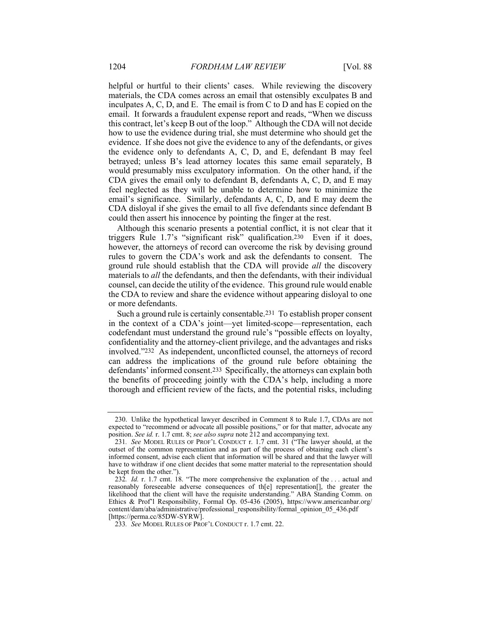helpful or hurtful to their clients' cases. While reviewing the discovery materials, the CDA comes across an email that ostensibly exculpates B and inculpates A, C, D, and E. The email is from C to D and has E copied on the email. It forwards a fraudulent expense report and reads, "When we discuss this contract, let's keep B out of the loop." Although the CDA will not decide how to use the evidence during trial, she must determine who should get the evidence. If she does not give the evidence to any of the defendants, or gives the evidence only to defendants A, C, D, and E, defendant B may feel betrayed; unless B's lead attorney locates this same email separately, B would presumably miss exculpatory information. On the other hand, if the CDA gives the email only to defendant B, defendants A, C, D, and E may feel neglected as they will be unable to determine how to minimize the email's significance. Similarly, defendants A, C, D, and E may deem the CDA disloyal if she gives the email to all five defendants since defendant B could then assert his innocence by pointing the finger at the rest.

Although this scenario presents a potential conflict, it is not clear that it triggers Rule 1.7's "significant risk" qualification.230 Even if it does, however, the attorneys of record can overcome the risk by devising ground rules to govern the CDA's work and ask the defendants to consent. The ground rule should establish that the CDA will provide *all* the discovery materials to *all* the defendants, and then the defendants, with their individual counsel, can decide the utility of the evidence. This ground rule would enable the CDA to review and share the evidence without appearing disloyal to one or more defendants.

Such a ground rule is certainly consentable.231 To establish proper consent in the context of a CDA's joint—yet limited-scope—representation, each codefendant must understand the ground rule's "possible effects on loyalty, confidentiality and the attorney-client privilege, and the advantages and risks involved."232 As independent, unconflicted counsel, the attorneys of record can address the implications of the ground rule before obtaining the defendants' informed consent.233 Specifically, the attorneys can explain both the benefits of proceeding jointly with the CDA's help, including a more thorough and efficient review of the facts, and the potential risks, including

 <sup>230.</sup> Unlike the hypothetical lawyer described in Comment 8 to Rule 1.7, CDAs are not expected to "recommend or advocate all possible positions," or for that matter, advocate any position. *See id.* r. 1.7 cmt. 8; *see also supra* note 212 and accompanying text.

<sup>231</sup>*. See* MODEL RULES OF PROF'L CONDUCT r. 1.7 cmt. 31 ("The lawyer should, at the outset of the common representation and as part of the process of obtaining each client's informed consent, advise each client that information will be shared and that the lawyer will have to withdraw if one client decides that some matter material to the representation should be kept from the other.")

<sup>232</sup>*. Id.* r. 1.7 cmt. 18. "The more comprehensive the explanation of the . . . actual and reasonably foreseeable adverse consequences of th[e] representation[], the greater the likelihood that the client will have the requisite understanding." ABA Standing Comm. on Ethics & Prof'l Responsibility, Formal Op. 05-436 (2005), https://www.americanbar.org/ content/dam/aba/administrative/professional\_responsibility/formal\_opinion\_05\_436.pdf [https://perma.cc/85DW-SYRW].

<sup>233</sup>*. See* MODEL RULES OF PROF'L CONDUCT r. 1.7 cmt. 22.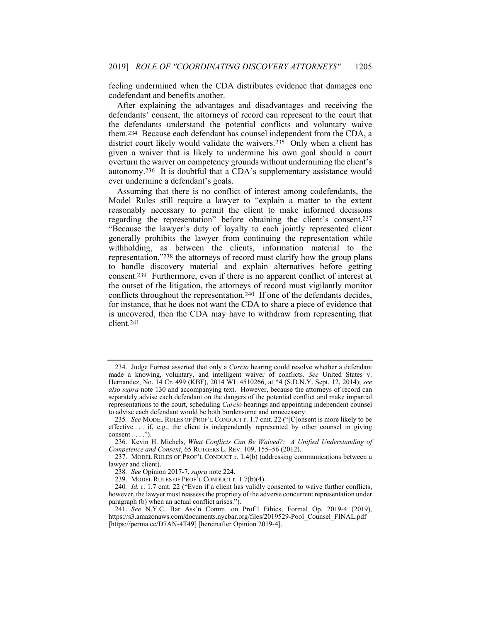feeling undermined when the CDA distributes evidence that damages one codefendant and benefits another.

After explaining the advantages and disadvantages and receiving the defendants' consent, the attorneys of record can represent to the court that the defendants understand the potential conflicts and voluntary waive them.234 Because each defendant has counsel independent from the CDA, a district court likely would validate the waivers.235 Only when a client has given a waiver that is likely to undermine his own goal should a court overturn the waiver on competency grounds without undermining the client's autonomy.236 It is doubtful that a CDA's supplementary assistance would ever undermine a defendant's goals.

Assuming that there is no conflict of interest among codefendants, the Model Rules still require a lawyer to "explain a matter to the extent reasonably necessary to permit the client to make informed decisions regarding the representation" before obtaining the client's consent.237 "Because the lawyer's duty of loyalty to each jointly represented client generally prohibits the lawyer from continuing the representation while withholding, as between the clients, information material to the representation,"238 the attorneys of record must clarify how the group plans to handle discovery material and explain alternatives before getting consent.239 Furthermore, even if there is no apparent conflict of interest at the outset of the litigation, the attorneys of record must vigilantly monitor conflicts throughout the representation.240 If one of the defendants decides, for instance, that he does not want the CDA to share a piece of evidence that is uncovered, then the CDA may have to withdraw from representing that client.241

 <sup>234.</sup> Judge Forrest asserted that only a *Curcio* hearing could resolve whether a defendant made a knowing, voluntary, and intelligent waiver of conflicts. *See* United States v. Hernandez, No. 14 Cr. 499 (KBF), 2014 WL 4510266, at \*4 (S.D.N.Y. Sept. 12, 2014); *see also supra* note 130 and accompanying text. However, because the attorneys of record can separately advise each defendant on the dangers of the potential conflict and make impartial representations to the court, scheduling *Curcio* hearings and appointing independent counsel to advise each defendant would be both burdensome and unnecessary.

<sup>235</sup>*. See* MODEL RULES OF PROF'L CONDUCT r. 1.7 cmt. 22 ("[C]onsent is more likely to be effective . . . if, e.g., the client is independently represented by other counsel in giving consent  $\dots$ .").

 <sup>236.</sup> Kevin H. Michels, *What Conflicts Can Be Waived?: A Unified Understanding of Competence and Consent*, 65 RUTGERS L. REV. 109, 155–56 (2012).

 <sup>237.</sup> MODEL RULES OF PROF'L CONDUCT r. 1.4(b) (addressing communications between a lawyer and client).

<sup>238</sup>*. See* Opinion 2017-7, *supra* note 224.

 <sup>239.</sup> MODEL RULES OF PROF'L CONDUCT r. 1.7(b)(4).

<sup>240</sup>*. Id.* r. 1.7 cmt. 22 ("Even if a client has validly consented to waive further conflicts, however, the lawyer must reassess the propriety of the adverse concurrent representation under paragraph (b) when an actual conflict arises.").

 <sup>241.</sup> *See* N.Y.C. Bar Ass'n Comm. on Prof'l Ethics, Formal Op. 2019-4 (2019), https://s3.amazonaws.com/documents.nycbar.org/files/2019529-Pool\_Counsel\_FINAL.pdf [https://perma.cc/D7AN-4T49] [hereinafter Opinion 2019-4].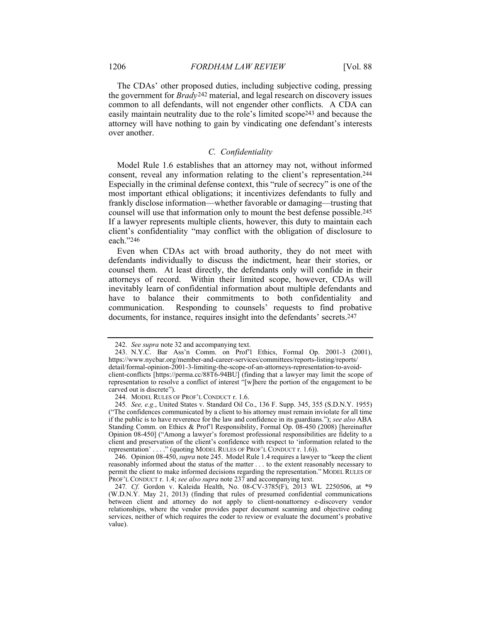The CDAs' other proposed duties, including subjective coding, pressing the government for *Brady*242 material, and legal research on discovery issues common to all defendants, will not engender other conflicts. A CDA can easily maintain neutrality due to the role's limited scope243 and because the attorney will have nothing to gain by vindicating one defendant's interests over another.

# *C. Confidentiality*

Model Rule 1.6 establishes that an attorney may not, without informed consent, reveal any information relating to the client's representation.244 Especially in the criminal defense context, this "rule of secrecy" is one of the most important ethical obligations; it incentivizes defendants to fully and frankly disclose information—whether favorable or damaging—trusting that counsel will use that information only to mount the best defense possible.245 If a lawyer represents multiple clients, however, this duty to maintain each client's confidentiality "may conflict with the obligation of disclosure to each."246

Even when CDAs act with broad authority, they do not meet with defendants individually to discuss the indictment, hear their stories, or counsel them. At least directly, the defendants only will confide in their attorneys of record. Within their limited scope, however, CDAs will inevitably learn of confidential information about multiple defendants and have to balance their commitments to both confidentiality and communication. Responding to counsels' requests to find probative documents, for instance, requires insight into the defendants' secrets.247

 <sup>242.</sup> *See supra* note 32 and accompanying text.

 <sup>243.</sup> N.Y.C. Bar Ass'n Comm. on Prof'l Ethics, Formal Op. 2001-3 (2001), https://www.nycbar.org/member-and-career-services/committees/reports-listing/reports/ detail/formal-opinion-2001-3-limiting-the-scope-of-an-attorneys-representation-to-avoidclient-conflicts [https://perma.cc/88T6-94BU] (finding that a lawyer may limit the scope of representation to resolve a conflict of interest "[w]here the portion of the engagement to be carved out is discrete").

 <sup>244.</sup> MODEL RULES OF PROF'L CONDUCT r. 1.6.

<sup>245</sup>*. See, e.g.*, United States v. Standard Oil Co., 136 F. Supp. 345, 355 (S.D.N.Y. 1955) ("The confidences communicated by a client to his attorney must remain inviolate for all time if the public is to have reverence for the law and confidence in its guardians."); *see also* ABA Standing Comm. on Ethics & Prof'l Responsibility, Formal Op. 08-450 (2008) [hereinafter Opinion 08-450] ("Among a lawyer's foremost professional responsibilities are fidelity to a client and preservation of the client's confidence with respect to 'information related to the representation' . . . ." (quoting MODEL RULES OF PROF'L CONDUCT r. 1.6)).

 <sup>246.</sup> Opinion 08-450, *supra* note 245. Model Rule 1.4 requires a lawyer to "keep the client reasonably informed about the status of the matter . . . to the extent reasonably necessary to permit the client to make informed decisions regarding the representation." MODEL RULES OF PROF'L CONDUCT r. 1.4; *see also supra* note 237 and accompanying text.

<sup>247</sup>*. Cf.* Gordon v. Kaleida Health, No. 08-CV-3785(F), 2013 WL 2250506, at \*9 (W.D.N.Y. May 21, 2013) (finding that rules of presumed confidential communications between client and attorney do not apply to client-nonattorney e-discovery vendor relationships, where the vendor provides paper document scanning and objective coding services, neither of which requires the coder to review or evaluate the document's probative value).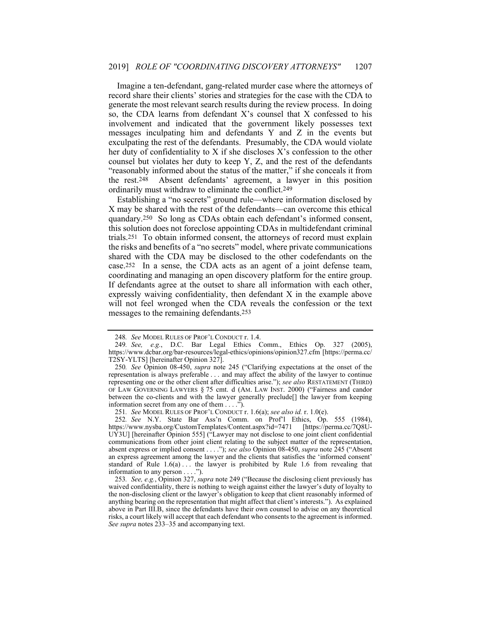Imagine a ten-defendant, gang-related murder case where the attorneys of record share their clients' stories and strategies for the case with the CDA to generate the most relevant search results during the review process. In doing so, the CDA learns from defendant X's counsel that X confessed to his involvement and indicated that the government likely possesses text messages inculpating him and defendants Y and Z in the events but exculpating the rest of the defendants. Presumably, the CDA would violate her duty of confidentiality to X if she discloses X's confession to the other counsel but violates her duty to keep Y, Z, and the rest of the defendants "reasonably informed about the status of the matter," if she conceals it from the rest.248 Absent defendants' agreement, a lawyer in this position ordinarily must withdraw to eliminate the conflict.249

Establishing a "no secrets" ground rule—where information disclosed by X may be shared with the rest of the defendants—can overcome this ethical quandary.250 So long as CDAs obtain each defendant's informed consent, this solution does not foreclose appointing CDAs in multidefendant criminal trials.251 To obtain informed consent, the attorneys of record must explain the risks and benefits of a "no secrets" model, where private communications shared with the CDA may be disclosed to the other codefendants on the case.252 In a sense, the CDA acts as an agent of a joint defense team, coordinating and managing an open discovery platform for the entire group. If defendants agree at the outset to share all information with each other, expressly waiving confidentiality, then defendant X in the example above will not feel wronged when the CDA reveals the confession or the text messages to the remaining defendants.253

<sup>248</sup>*. See* MODEL RULES OF PROF'L CONDUCT r. 1.4.

<sup>249</sup>*. See, e.g.*, D.C. Bar Legal Ethics Comm., Ethics Op. 327 (2005), https://www.dcbar.org/bar-resources/legal-ethics/opinions/opinion327.cfm [https://perma.cc/ T2SY-YLTS] [hereinafter Opinion 327].

<sup>250</sup>*. See* Opinion 08-450, *supra* note 245 ("Clarifying expectations at the onset of the representation is always preferable . . . and may affect the ability of the lawyer to continue representing one or the other client after difficulties arise."); *see also* RESTATEMENT (THIRD) OF LAW GOVERNING LAWYERS § 75 cmt. d (AM. LAW INST. 2000) ("Fairness and candor between the co-clients and with the lawyer generally preclude[] the lawyer from keeping information secret from any one of them . . . .").

<sup>251</sup>*. See* MODEL RULES OF PROF'L CONDUCT r. 1.6(a); *see also id.* r. 1.0(e).

<sup>252</sup>*. See* N.Y. State Bar Ass'n Comm. on Prof'l Ethics, Op. 555 (1984), https://www.nysba.org/CustomTemplates/Content.aspx?id=7471 [https://perma.cc/7Q8U-UY3U] [hereinafter Opinion 555] ("Lawyer may not disclose to one joint client confidential communications from other joint client relating to the subject matter of the representation, absent express or implied consent . . . ."); *see also* Opinion 08-450, *supra* note 245 ("Absent an express agreement among the lawyer and the clients that satisfies the 'informed consent' standard of Rule  $1.6(a)$ ... the lawyer is prohibited by Rule 1.6 from revealing that information to any person . . . .").

<sup>253</sup>*. See, e.g.*, Opinion 327, *supra* note 249 ("Because the disclosing client previously has waived confidentiality, there is nothing to weigh against either the lawyer's duty of loyalty to the non-disclosing client or the lawyer's obligation to keep that client reasonably informed of anything bearing on the representation that might affect that client's interests."). As explained above in Part III.B, since the defendants have their own counsel to advise on any theoretical risks, a court likely will accept that each defendant who consents to the agreement is informed. *See supra* notes 233–35 and accompanying text.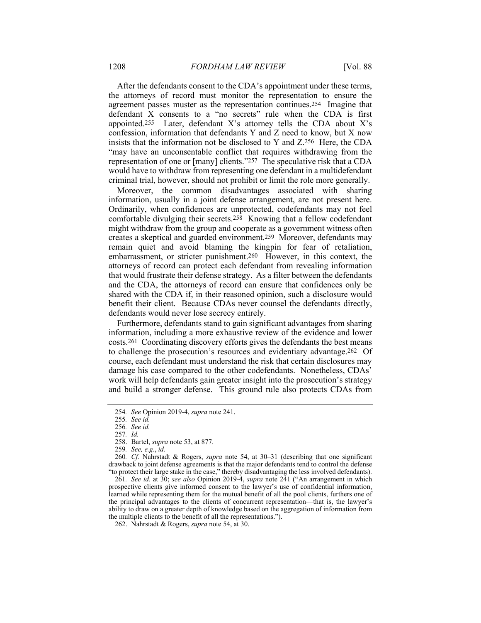After the defendants consent to the CDA's appointment under these terms, the attorneys of record must monitor the representation to ensure the agreement passes muster as the representation continues.254 Imagine that defendant  $\bar{X}$  consents to a "no secrets" rule when the CDA is first appointed.255 Later, defendant X's attorney tells the CDA about X's confession, information that defendants Y and Z need to know, but X now insists that the information not be disclosed to Y and Z.256 Here, the CDA "may have an unconsentable conflict that requires withdrawing from the representation of one or [many] clients."257 The speculative risk that a CDA would have to withdraw from representing one defendant in a multidefendant criminal trial, however, should not prohibit or limit the role more generally.

Moreover, the common disadvantages associated with sharing information, usually in a joint defense arrangement, are not present here. Ordinarily, when confidences are unprotected, codefendants may not feel comfortable divulging their secrets.258 Knowing that a fellow codefendant might withdraw from the group and cooperate as a government witness often creates a skeptical and guarded environment.259 Moreover, defendants may remain quiet and avoid blaming the kingpin for fear of retaliation, embarrassment, or stricter punishment.260 However, in this context, the attorneys of record can protect each defendant from revealing information that would frustrate their defense strategy. As a filter between the defendants and the CDA, the attorneys of record can ensure that confidences only be shared with the CDA if, in their reasoned opinion, such a disclosure would benefit their client. Because CDAs never counsel the defendants directly, defendants would never lose secrecy entirely.

Furthermore, defendants stand to gain significant advantages from sharing information, including a more exhaustive review of the evidence and lower costs.261 Coordinating discovery efforts gives the defendants the best means to challenge the prosecution's resources and evidentiary advantage.262 Of course, each defendant must understand the risk that certain disclosures may damage his case compared to the other codefendants. Nonetheless, CDAs' work will help defendants gain greater insight into the prosecution's strategy and build a stronger defense. This ground rule also protects CDAs from

<sup>254</sup>*. See* Opinion 2019-4, *supra* note 241.

<sup>255</sup>*. See id.*

<sup>256</sup>*. See id.*

<sup>257</sup>*. Id.*

 <sup>258.</sup> Bartel, *supra* note 53, at 877.

<sup>259</sup>*. See, e.g.*, *id.* 

<sup>260</sup>*. Cf.* Nahrstadt & Rogers, *supra* note 54, at 30–31 (describing that one significant drawback to joint defense agreements is that the major defendants tend to control the defense "to protect their large stake in the case," thereby disadvantaging the less involved defendants).

<sup>261</sup>*. See id.* at 30; *see also* Opinion 2019-4, *supra* note 241 ("An arrangement in which prospective clients give informed consent to the lawyer's use of confidential information, learned while representing them for the mutual benefit of all the pool clients, furthers one of the principal advantages to the clients of concurrent representation—that is, the lawyer's ability to draw on a greater depth of knowledge based on the aggregation of information from the multiple clients to the benefit of all the representations.").

 <sup>262.</sup> Nahrstadt & Rogers, *supra* note 54, at 30.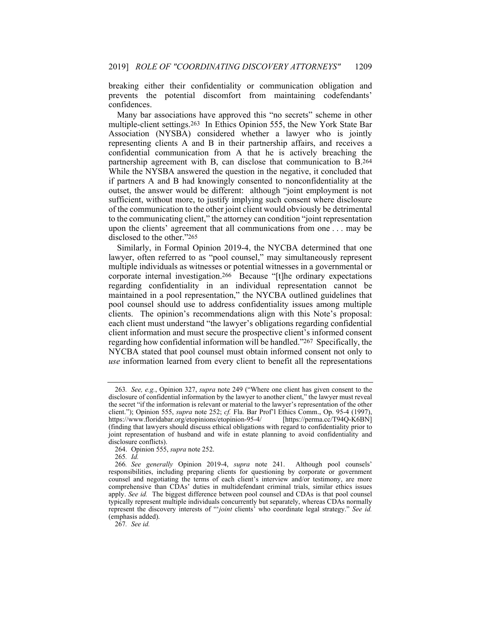breaking either their confidentiality or communication obligation and prevents the potential discomfort from maintaining codefendants' confidences.

Many bar associations have approved this "no secrets" scheme in other multiple-client settings.263 In Ethics Opinion 555, the New York State Bar Association (NYSBA) considered whether a lawyer who is jointly representing clients A and B in their partnership affairs, and receives a confidential communication from A that he is actively breaching the partnership agreement with B, can disclose that communication to B.264 While the NYSBA answered the question in the negative, it concluded that if partners A and B had knowingly consented to nonconfidentiality at the outset, the answer would be different: although "joint employment is not sufficient, without more, to justify implying such consent where disclosure of the communication to the other joint client would obviously be detrimental to the communicating client," the attorney can condition "joint representation upon the clients' agreement that all communications from one . . . may be disclosed to the other."265

Similarly, in Formal Opinion 2019-4, the NYCBA determined that one lawyer, often referred to as "pool counsel," may simultaneously represent multiple individuals as witnesses or potential witnesses in a governmental or corporate internal investigation.266 Because "[t]he ordinary expectations regarding confidentiality in an individual representation cannot be maintained in a pool representation," the NYCBA outlined guidelines that pool counsel should use to address confidentiality issues among multiple clients. The opinion's recommendations align with this Note's proposal: each client must understand "the lawyer's obligations regarding confidential client information and must secure the prospective client's informed consent regarding how confidential information will be handled."267 Specifically, the NYCBA stated that pool counsel must obtain informed consent not only to *use* information learned from every client to benefit all the representations

265*. Id.*

267*. See id.*

<sup>263</sup>*. See, e.g.*, Opinion 327, *supra* note 249 ("Where one client has given consent to the disclosure of confidential information by the lawyer to another client," the lawyer must reveal the secret "if the information is relevant or material to the lawyer's representation of the other client."); Opinion 555, *supra* note 252; *cf.* Fla. Bar Prof'l Ethics Comm., Op. 95-4 (1997), https://www.floridabar.org/etopinions/etopinion-95-4/ [https://perma.cc/T94Q-K6BN] https://www.floridabar.org/etopinions/etopinion-95-4/ (finding that lawyers should discuss ethical obligations with regard to confidentiality prior to joint representation of husband and wife in estate planning to avoid confidentiality and disclosure conflicts).

 <sup>264.</sup> Opinion 555, *supra* note 252.

<sup>266</sup>*. See generally* Opinion 2019-4, *supra* note 241. Although pool counsels' responsibilities, including preparing clients for questioning by corporate or government counsel and negotiating the terms of each client's interview and/or testimony, are more comprehensive than CDAs' duties in multidefendant criminal trials, similar ethics issues apply. *See id.* The biggest difference between pool counsel and CDAs is that pool counsel typically represent multiple individuals concurrently but separately, whereas CDAs normally represent the discovery interests of "'*joint* clients' who coordinate legal strategy." *See id.* (emphasis added).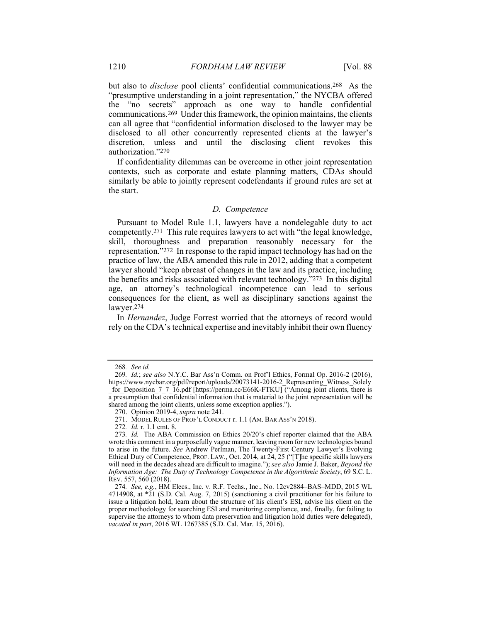but also to *disclose* pool clients' confidential communications.268 As the "presumptive understanding in a joint representation," the NYCBA offered the "no secrets" approach as one way to handle confidential communications.269 Under this framework, the opinion maintains, the clients can all agree that "confidential information disclosed to the lawyer may be disclosed to all other concurrently represented clients at the lawyer's discretion, unless and until the disclosing client revokes this authorization."270

If confidentiality dilemmas can be overcome in other joint representation contexts, such as corporate and estate planning matters, CDAs should similarly be able to jointly represent codefendants if ground rules are set at the start.

## *D. Competence*

Pursuant to Model Rule 1.1, lawyers have a nondelegable duty to act competently.271 This rule requires lawyers to act with "the legal knowledge, skill, thoroughness and preparation reasonably necessary for the representation."272 In response to the rapid impact technology has had on the practice of law, the ABA amended this rule in 2012, adding that a competent lawyer should "keep abreast of changes in the law and its practice, including the benefits and risks associated with relevant technology."273 In this digital age, an attorney's technological incompetence can lead to serious consequences for the client, as well as disciplinary sanctions against the lawyer.274

In *Hernandez*, Judge Forrest worried that the attorneys of record would rely on the CDA's technical expertise and inevitably inhibit their own fluency

<sup>268</sup>*. See id.*

<sup>269</sup>*. Id.*; *see also* N.Y.C. Bar Ass'n Comm. on Prof'l Ethics, Formal Op. 2016-2 (2016), https://www.nycbar.org/pdf/report/uploads/20073141-2016-2\_Representing\_Witness\_Solely \_for\_Deposition\_7\_7\_16.pdf [https://perma.cc/E66K-FTKU] ("Among joint clients, there is a presumption that confidential information that is material to the joint representation will be shared among the joint clients, unless some exception applies.").

 <sup>270.</sup> Opinion 2019-4, *supra* note 241.

 <sup>271.</sup> MODEL RULES OF PROF'L CONDUCT r. 1.1 (AM. BAR ASS'N 2018).

<sup>272</sup>*. Id.* r. 1.1 cmt. 8.

<sup>273</sup>*. Id.* The ABA Commission on Ethics 20/20's chief reporter claimed that the ABA wrote this comment in a purposefully vague manner, leaving room for new technologies bound to arise in the future. *See* Andrew Perlman, The Twenty-First Century Lawyer's Evolving Ethical Duty of Competence, PROF. LAW., Oct. 2014, at 24, 25 ("[T]he specific skills lawyers will need in the decades ahead are difficult to imagine."); *see also* Jamie J. Baker, *Beyond the Information Age: The Duty of Technology Competence in the Algorithmic Society*, 69 S.C. L. REV. 557, 560 (2018).

<sup>274</sup>*. See, e.g.*, HM Elecs., Inc. v. R.F. Techs., Inc., No. 12cv2884–BAS–MDD, 2015 WL 4714908, at \*21 (S.D. Cal. Aug. 7, 2015) (sanctioning a civil practitioner for his failure to issue a litigation hold, learn about the structure of his client's ESI, advise his client on the proper methodology for searching ESI and monitoring compliance, and, finally, for failing to supervise the attorneys to whom data preservation and litigation hold duties were delegated), *vacated in part*, 2016 WL 1267385 (S.D. Cal. Mar. 15, 2016).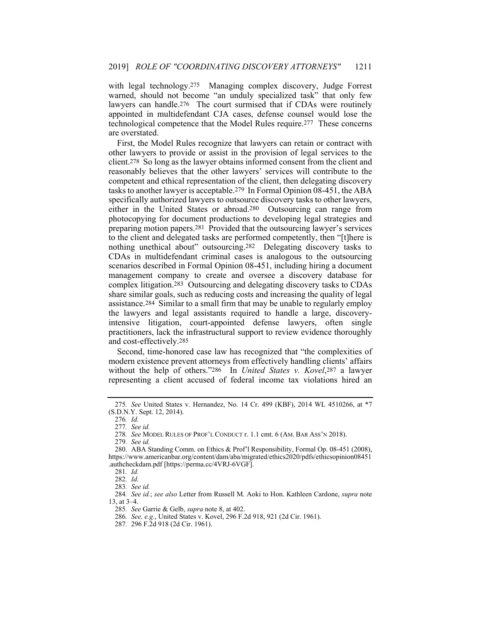with legal technology.<sup>275</sup> Managing complex discovery, Judge Forrest warned, should not become "an unduly specialized task" that only few lawyers can handle.276 The court surmised that if CDAs were routinely appointed in multidefendant CJA cases, defense counsel would lose the technological competence that the Model Rules require.277 These concerns are overstated.

First, the Model Rules recognize that lawyers can retain or contract with other lawyers to provide or assist in the provision of legal services to the client.278 So long as the lawyer obtains informed consent from the client and reasonably believes that the other lawyers' services will contribute to the competent and ethical representation of the client, then delegating discovery tasks to another lawyer is acceptable.279 In Formal Opinion 08-451, the ABA specifically authorized lawyers to outsource discovery tasks to other lawyers, either in the United States or abroad.280 Outsourcing can range from photocopying for document productions to developing legal strategies and preparing motion papers.281 Provided that the outsourcing lawyer's services to the client and delegated tasks are performed competently, then "[t]here is nothing unethical about" outsourcing.282 Delegating discovery tasks to CDAs in multidefendant criminal cases is analogous to the outsourcing scenarios described in Formal Opinion 08-451, including hiring a document management company to create and oversee a discovery database for complex litigation.283 Outsourcing and delegating discovery tasks to CDAs share similar goals, such as reducing costs and increasing the quality of legal assistance.284 Similar to a small firm that may be unable to regularly employ the lawyers and legal assistants required to handle a large, discoveryintensive litigation, court-appointed defense lawyers, often single practitioners, lack the infrastructural support to review evidence thoroughly and cost-effectively.285

Second, time-honored case law has recognized that "the complexities of modern existence prevent attorneys from effectively handling clients' affairs without the help of others."286 In *United States v. Kovel*,287 a lawyer representing a client accused of federal income tax violations hired an

277*. See id.*

279*. See id.*

284*. See id.*; *see also* Letter from Russell M. Aoki to Hon. Kathleen Cardone, *supra* note 13, at 3–4.

285*. See* Garrie & Gelb, *supra* note 8, at 402.

287*.* 296 F.2d 918 (2d Cir. 1961).

<sup>275</sup>*. See* United States v. Hernandez, No. 14 Cr. 499 (KBF), 2014 WL 4510266, at \*7 (S.D.N.Y. Sept. 12, 2014).

<sup>276</sup>*. Id.* 

<sup>278</sup>*. See* MODEL RULES OF PROF'L CONDUCT r. 1.1 cmt. 6 (AM. BAR ASS'N 2018).

 <sup>280.</sup> ABA Standing Comm. on Ethics & Prof'l Responsibility, Formal Op. 08-451 (2008), https://www.americanbar.org/content/dam/aba/migrated/ethics2020/pdfs/ethicsopinion08451 .authcheckdam.pdf [https://perma.cc/4VRJ-6VGF].

<sup>281</sup>*. Id.*

<sup>282</sup>*. Id.*

<sup>283</sup>*. See id.*

<sup>286</sup>*. See, e.g.*, United States v. Kovel, 296 F.2d 918, 921 (2d Cir. 1961).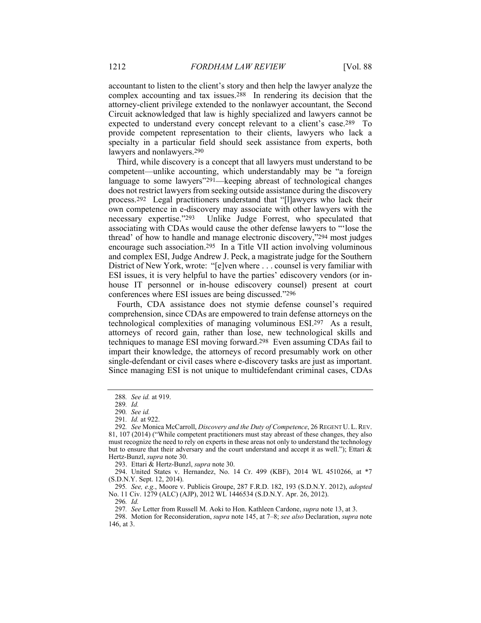accountant to listen to the client's story and then help the lawyer analyze the complex accounting and tax issues.288 In rendering its decision that the attorney-client privilege extended to the nonlawyer accountant, the Second Circuit acknowledged that law is highly specialized and lawyers cannot be expected to understand every concept relevant to a client's case.289 To provide competent representation to their clients, lawyers who lack a specialty in a particular field should seek assistance from experts, both lawyers and nonlawyers.290

Third, while discovery is a concept that all lawyers must understand to be competent—unlike accounting, which understandably may be "a foreign language to some lawyers"291—keeping abreast of technological changes does not restrict lawyers from seeking outside assistance during the discovery process.292 Legal practitioners understand that "[l]awyers who lack their own competence in e-discovery may associate with other lawyers with the necessary expertise."293 Unlike Judge Forrest, who speculated that associating with CDAs would cause the other defense lawyers to "'lose the thread' of how to handle and manage electronic discovery,"294 most judges encourage such association.295 In a Title VII action involving voluminous and complex ESI, Judge Andrew J. Peck, a magistrate judge for the Southern District of New York, wrote: "[e]ven where . . . counsel is very familiar with ESI issues, it is very helpful to have the parties' ediscovery vendors (or inhouse IT personnel or in-house ediscovery counsel) present at court conferences where ESI issues are being discussed."296

Fourth, CDA assistance does not stymie defense counsel's required comprehension, since CDAs are empowered to train defense attorneys on the technological complexities of managing voluminous ESI.297 As a result, attorneys of record gain, rather than lose, new technological skills and techniques to manage ESI moving forward.298 Even assuming CDAs fail to impart their knowledge, the attorneys of record presumably work on other single-defendant or civil cases where e-discovery tasks are just as important. Since managing ESI is not unique to multidefendant criminal cases, CDAs

293. Ettari & Hertz-Bunzl, *supra* note 30.

 294. United States v. Hernandez, No. 14 Cr. 499 (KBF), 2014 WL 4510266, at \*7 (S.D.N.Y. Sept. 12, 2014).

295*. See, e.g.*, Moore v. Publicis Groupe, 287 F.R.D. 182, 193 (S.D.N.Y. 2012), *adopted* No. 11 Civ. 1279 (ALC) (AJP), 2012 WL 1446534 (S.D.N.Y. Apr. 26, 2012).

296*. Id.*

297*. See* Letter from Russell M. Aoki to Hon. Kathleen Cardone, *supra* note 13, at 3.

 298. Motion for Reconsideration, *supra* note 145, at 7–8; *see also* Declaration, *supra* note 146, at 3.

<sup>288</sup>*. See id.* at 919.

<sup>289</sup>*. Id.*

<sup>290</sup>*. See id.*

<sup>291</sup>*. Id.* at 922.

<sup>292</sup>*. See* Monica McCarroll, *Discovery and the Duty of Competence*, 26 REGENT U. L.REV. 81, 107 (2014) ("While competent practitioners must stay abreast of these changes, they also must recognize the need to rely on experts in these areas not only to understand the technology but to ensure that their adversary and the court understand and accept it as well."); Ettari & Hertz-Bunzl, *supra* note 30.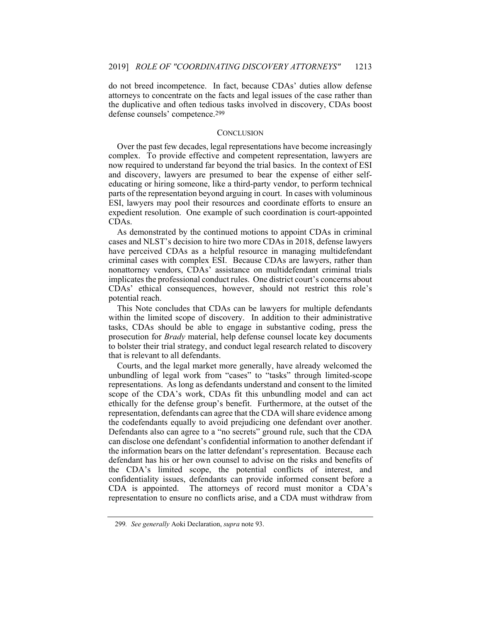do not breed incompetence. In fact, because CDAs' duties allow defense attorneys to concentrate on the facts and legal issues of the case rather than the duplicative and often tedious tasks involved in discovery, CDAs boost defense counsels' competence.299

#### **CONCLUSION**

Over the past few decades, legal representations have become increasingly complex. To provide effective and competent representation, lawyers are now required to understand far beyond the trial basics. In the context of ESI and discovery, lawyers are presumed to bear the expense of either selfeducating or hiring someone, like a third-party vendor, to perform technical parts of the representation beyond arguing in court. In cases with voluminous ESI, lawyers may pool their resources and coordinate efforts to ensure an expedient resolution. One example of such coordination is court-appointed CDAs.

As demonstrated by the continued motions to appoint CDAs in criminal cases and NLST's decision to hire two more CDAs in 2018, defense lawyers have perceived CDAs as a helpful resource in managing multidefendant criminal cases with complex ESI. Because CDAs are lawyers, rather than nonattorney vendors, CDAs' assistance on multidefendant criminal trials implicates the professional conduct rules. One district court's concerns about CDAs' ethical consequences, however, should not restrict this role's potential reach.

This Note concludes that CDAs can be lawyers for multiple defendants within the limited scope of discovery. In addition to their administrative tasks, CDAs should be able to engage in substantive coding, press the prosecution for *Brady* material, help defense counsel locate key documents to bolster their trial strategy, and conduct legal research related to discovery that is relevant to all defendants.

Courts, and the legal market more generally, have already welcomed the unbundling of legal work from "cases" to "tasks" through limited-scope representations. As long as defendants understand and consent to the limited scope of the CDA's work, CDAs fit this unbundling model and can act ethically for the defense group's benefit. Furthermore, at the outset of the representation, defendants can agree that the CDA will share evidence among the codefendants equally to avoid prejudicing one defendant over another. Defendants also can agree to a "no secrets" ground rule, such that the CDA can disclose one defendant's confidential information to another defendant if the information bears on the latter defendant's representation. Because each defendant has his or her own counsel to advise on the risks and benefits of the CDA's limited scope, the potential conflicts of interest, and confidentiality issues, defendants can provide informed consent before a CDA is appointed. The attorneys of record must monitor a CDA's representation to ensure no conflicts arise, and a CDA must withdraw from

<sup>299</sup>*. See generally* Aoki Declaration, *supra* note 93.